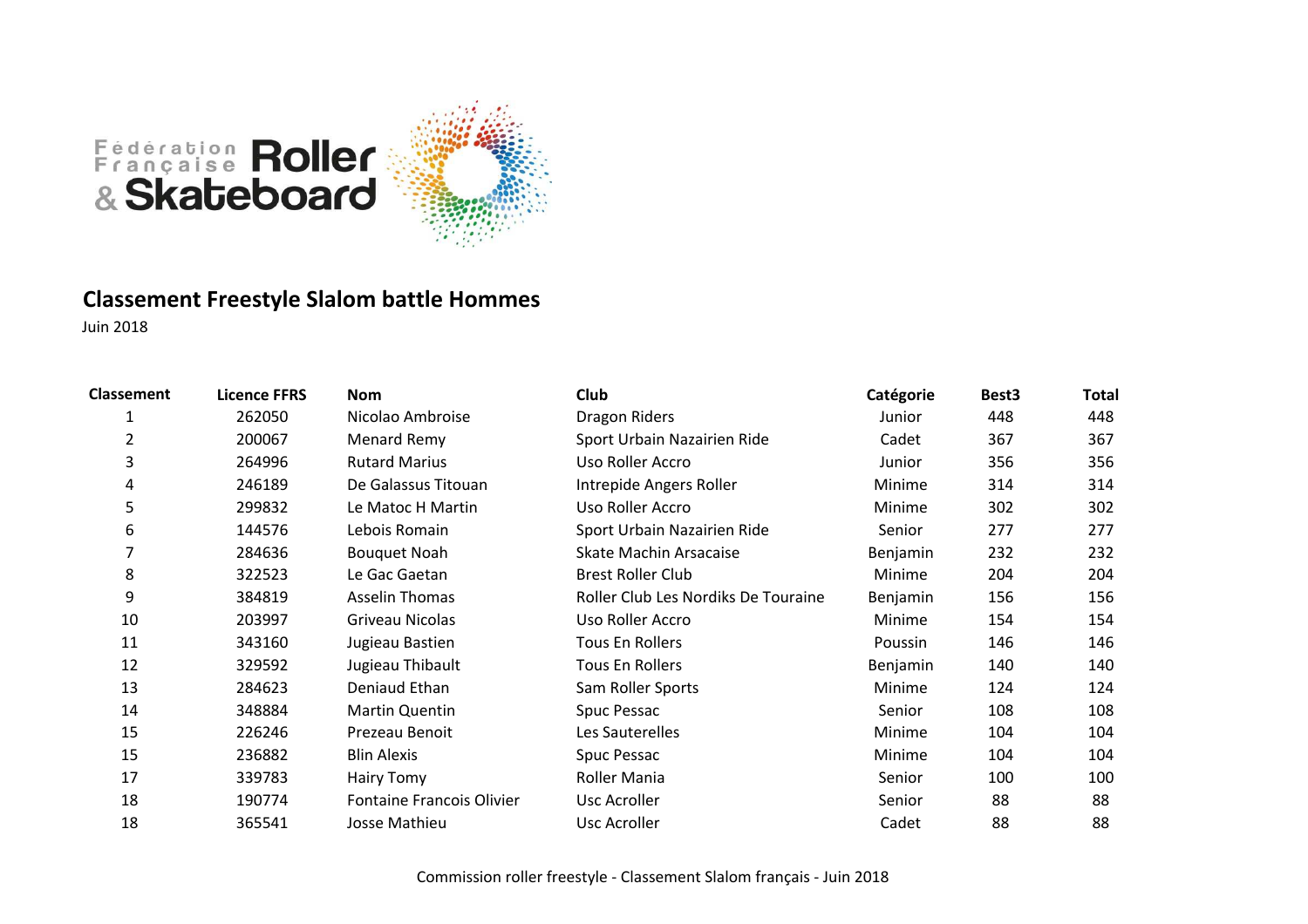

### **Classement Freestyle Slalom battle Hommes**

| <b>Classement</b> | <b>Licence FFRS</b> | <b>Nom</b>                       | Club                                | Catégorie | Best <sub>3</sub> | <b>Total</b> |
|-------------------|---------------------|----------------------------------|-------------------------------------|-----------|-------------------|--------------|
| 1                 | 262050              | Nicolao Ambroise                 | Dragon Riders                       | Junior    | 448               | 448          |
| $\overline{2}$    | 200067              | Menard Remy                      | Sport Urbain Nazairien Ride         | Cadet     | 367               | 367          |
| 3                 | 264996              | <b>Rutard Marius</b>             | Uso Roller Accro                    | Junior    | 356               | 356          |
| 4                 | 246189              | De Galassus Titouan              | Intrepide Angers Roller             | Minime    | 314               | 314          |
| 5                 | 299832              | Le Matoc H Martin                | Uso Roller Accro                    | Minime    | 302               | 302          |
| 6                 | 144576              | Lebois Romain                    | Sport Urbain Nazairien Ride         | Senior    | 277               | 277          |
| 7                 | 284636              | <b>Bouquet Noah</b>              | Skate Machin Arsacaise              | Benjamin  | 232               | 232          |
| 8                 | 322523              | Le Gac Gaetan                    | <b>Brest Roller Club</b>            | Minime    | 204               | 204          |
| 9                 | 384819              | <b>Asselin Thomas</b>            | Roller Club Les Nordiks De Touraine | Benjamin  | 156               | 156          |
| 10                | 203997              | Griveau Nicolas                  | Uso Roller Accro                    | Minime    | 154               | 154          |
| 11                | 343160              | Jugieau Bastien                  | Tous En Rollers                     | Poussin   | 146               | 146          |
| 12                | 329592              | Jugieau Thibault                 | <b>Tous En Rollers</b>              | Benjamin  | 140               | 140          |
| 13                | 284623              | Deniaud Ethan                    | Sam Roller Sports                   | Minime    | 124               | 124          |
| 14                | 348884              | Martin Quentin                   | Spuc Pessac                         | Senior    | 108               | 108          |
| 15                | 226246              | Prezeau Benoit                   | Les Sauterelles                     | Minime    | 104               | 104          |
| 15                | 236882              | <b>Blin Alexis</b>               | Spuc Pessac                         | Minime    | 104               | 104          |
| 17                | 339783              | Hairy Tomy                       | Roller Mania                        | Senior    | 100               | 100          |
| 18                | 190774              | <b>Fontaine Francois Olivier</b> | Usc Acroller                        | Senior    | 88                | 88           |
| 18                | 365541              | Josse Mathieu                    | Usc Acroller                        | Cadet     | 88                | 88           |
|                   |                     |                                  |                                     |           |                   |              |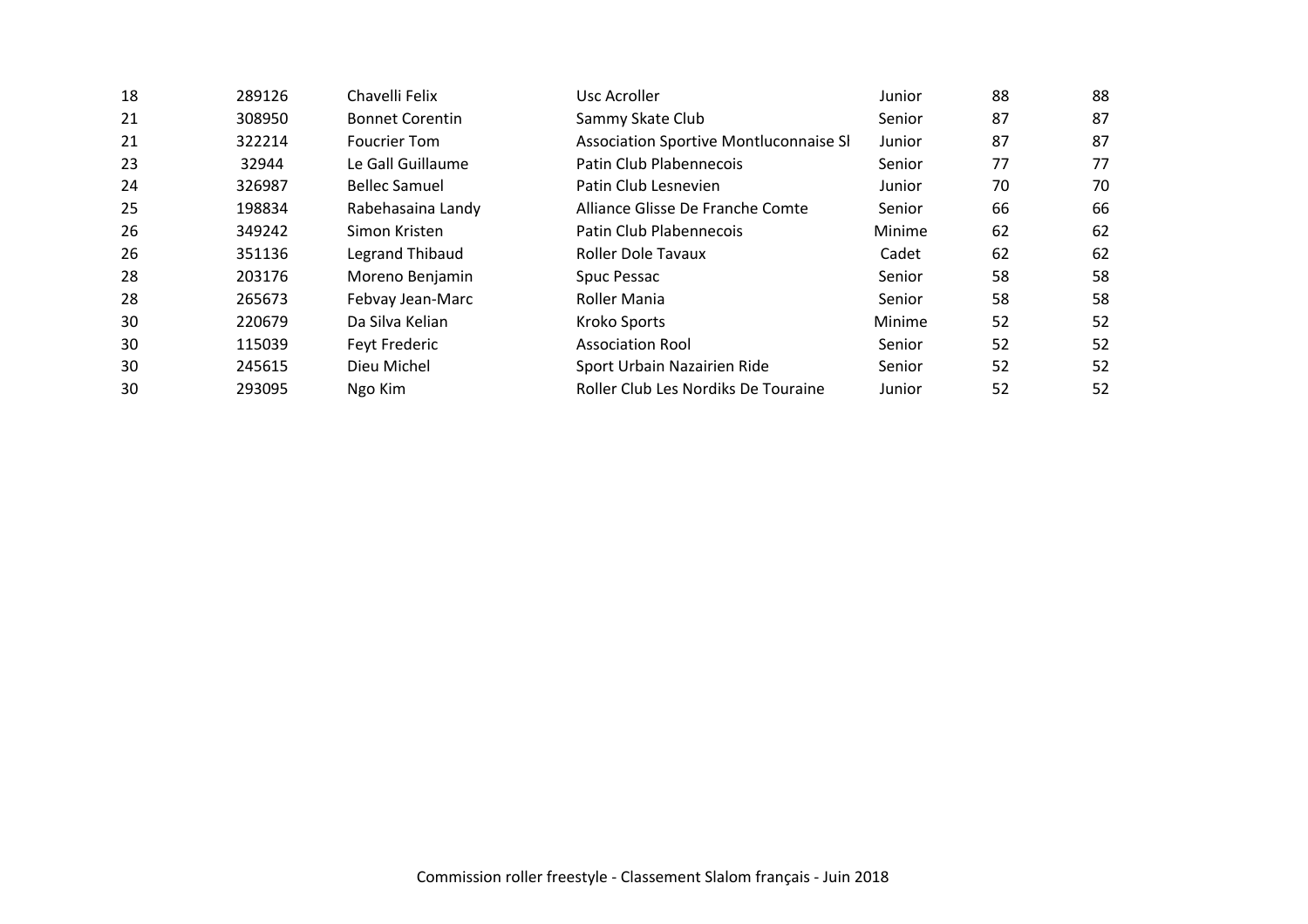| 18 | 289126 | Chavelli Felix         | Usc Acroller                           | Junior | 88 | 88 |
|----|--------|------------------------|----------------------------------------|--------|----|----|
| 21 | 308950 | <b>Bonnet Corentin</b> | Sammy Skate Club                       | Senior | 87 | 87 |
| 21 | 322214 | <b>Foucrier Tom</b>    | Association Sportive Montluconnaise SI | Junior | 87 | 87 |
| 23 | 32944  | Le Gall Guillaume      | Patin Club Plabennecois                | Senior | 77 | 77 |
| 24 | 326987 | <b>Bellec Samuel</b>   | Patin Club Lesnevien                   | Junior | 70 | 70 |
| 25 | 198834 | Rabehasaina Landy      | Alliance Glisse De Franche Comte       | Senior | 66 | 66 |
| 26 | 349242 | Simon Kristen          | Patin Club Plabennecois                | Minime | 62 | 62 |
| 26 | 351136 | Legrand Thibaud        | Roller Dole Tavaux                     | Cadet  | 62 | 62 |
| 28 | 203176 | Moreno Benjamin        | Spuc Pessac                            | Senior | 58 | 58 |
| 28 | 265673 | Febvay Jean-Marc       | Roller Mania                           | Senior | 58 | 58 |
| 30 | 220679 | Da Silva Kelian        | Kroko Sports                           | Minime | 52 | 52 |
| 30 | 115039 | Feyt Frederic          | <b>Association Rool</b>                | Senior | 52 | 52 |
| 30 | 245615 | Dieu Michel            | Sport Urbain Nazairien Ride            | Senior | 52 | 52 |
| 30 | 293095 | Ngo Kim                | Roller Club Les Nordiks De Touraine    | Junior | 52 | 52 |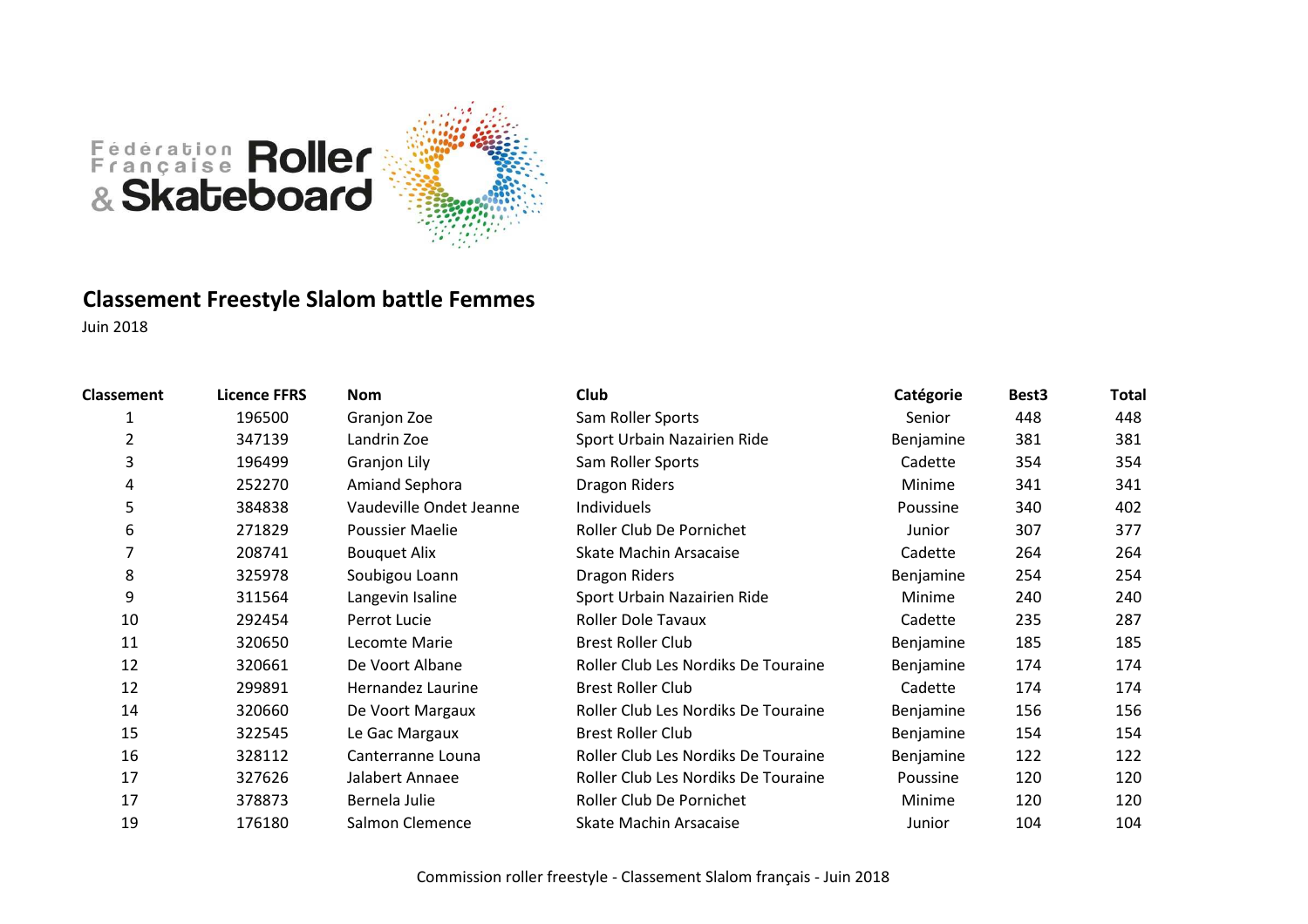

### **Classement Freestyle Slalom battle Femmes**

| <b>Classement</b> | <b>Licence FFRS</b> | Nom                     | Club                                | Catégorie | Best <sub>3</sub> | Total |
|-------------------|---------------------|-------------------------|-------------------------------------|-----------|-------------------|-------|
|                   | 196500              | Granjon Zoe             | Sam Roller Sports                   | Senior    | 448               | 448   |
| 2                 | 347139              | Landrin Zoe             | Sport Urbain Nazairien Ride         | Benjamine | 381               | 381   |
| 3                 | 196499              | Granjon Lily            | Sam Roller Sports                   | Cadette   | 354               | 354   |
| 4                 | 252270              | <b>Amiand Sephora</b>   | Dragon Riders                       | Minime    | 341               | 341   |
| 5                 | 384838              | Vaudeville Ondet Jeanne | Individuels                         | Poussine  | 340               | 402   |
| 6                 | 271829              | Poussier Maelie         | Roller Club De Pornichet            | Junior    | 307               | 377   |
|                   | 208741              | <b>Bouquet Alix</b>     | Skate Machin Arsacaise              | Cadette   | 264               | 264   |
| 8                 | 325978              | Soubigou Loann          | Dragon Riders                       | Benjamine | 254               | 254   |
| 9                 | 311564              | Langevin Isaline        | Sport Urbain Nazairien Ride         | Minime    | 240               | 240   |
| 10                | 292454              | Perrot Lucie            | <b>Roller Dole Tavaux</b>           | Cadette   | 235               | 287   |
| 11                | 320650              | Lecomte Marie           | <b>Brest Roller Club</b>            | Benjamine | 185               | 185   |
| 12                | 320661              | De Voort Albane         | Roller Club Les Nordiks De Touraine | Benjamine | 174               | 174   |
| 12                | 299891              | Hernandez Laurine       | <b>Brest Roller Club</b>            | Cadette   | 174               | 174   |
| 14                | 320660              | De Voort Margaux        | Roller Club Les Nordiks De Touraine | Benjamine | 156               | 156   |
| 15                | 322545              | Le Gac Margaux          | <b>Brest Roller Club</b>            | Benjamine | 154               | 154   |
| 16                | 328112              | Canterranne Louna       | Roller Club Les Nordiks De Touraine | Benjamine | 122               | 122   |
| 17                | 327626              | Jalabert Annaee         | Roller Club Les Nordiks De Touraine | Poussine  | 120               | 120   |
| 17                | 378873              | Bernela Julie           | Roller Club De Pornichet            | Minime    | 120               | 120   |
| 19                | 176180              | Salmon Clemence         | Skate Machin Arsacaise              | Junior    | 104               | 104   |
|                   |                     |                         |                                     |           |                   |       |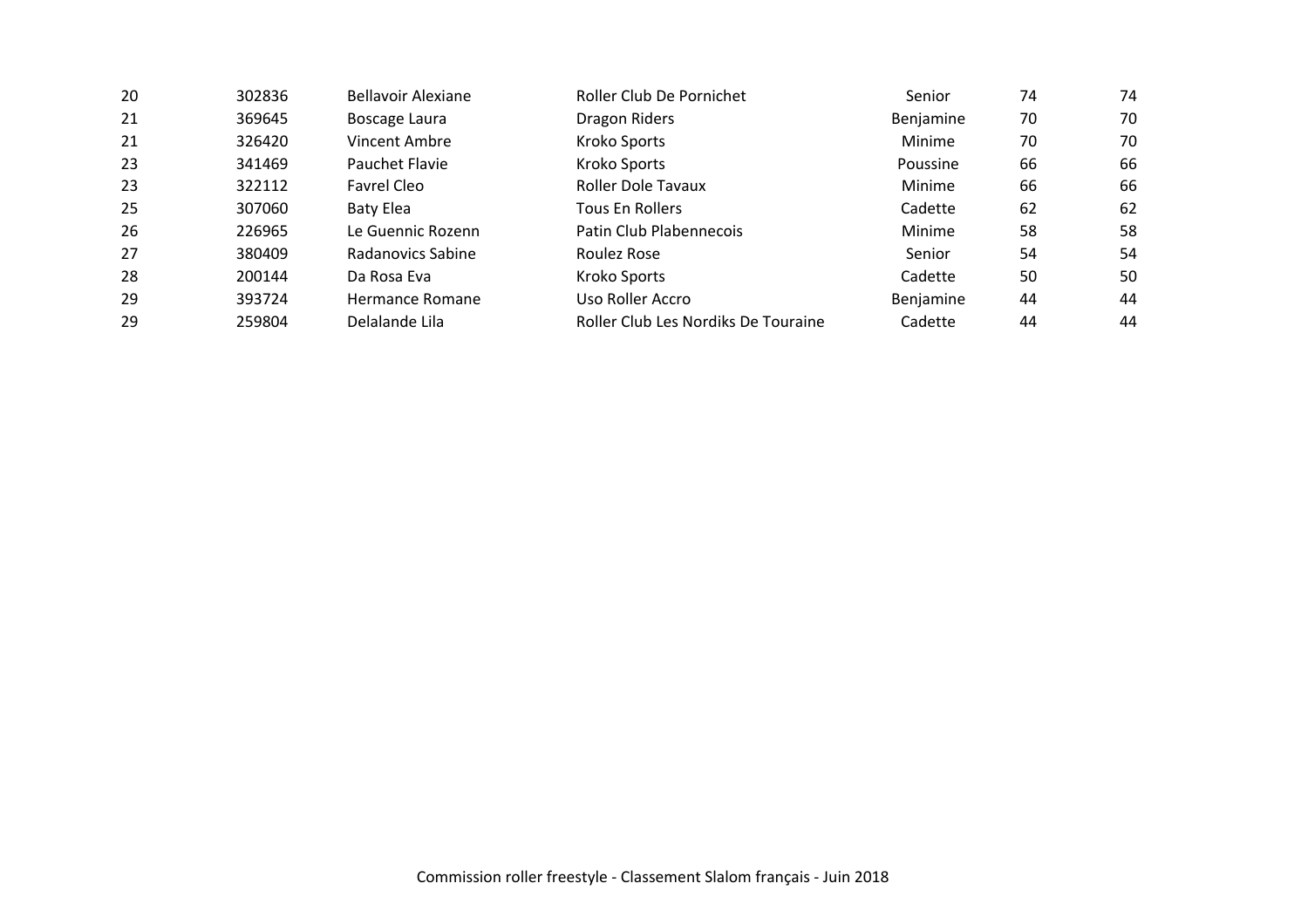| 74<br>-20<br>Senior                                                                    | 74 |
|----------------------------------------------------------------------------------------|----|
| 21<br>70<br>369645<br>Benjamine<br>Boscage Laura<br>Dragon Riders                      | 70 |
| 21<br>Kroko Sports<br>70<br>326420<br>Vincent Ambre<br>Minime                          | 70 |
| 23<br>Kroko Sports<br>341469<br>Pauchet Flavie<br>66<br>Poussine                       | 66 |
| 23<br>322112<br>Roller Dole Tavaux<br>66<br>Minime<br>Favrel Cleo                      | 66 |
| 25<br>Cadette<br>62<br>307060<br><b>Tous En Rollers</b><br>Baty Elea                   | 62 |
| 26<br>Patin Club Plabennecois<br>226965<br>58<br>Le Guennic Rozenn<br>Minime           | 58 |
| 27<br>Radanovics Sabine<br>380409<br>Roulez Rose<br>54<br>Senior                       | 54 |
| 28<br>Cadette<br>50<br>Kroko Sports<br>200144<br>Da Rosa Eva                           | 50 |
| 29<br>393724<br>Benjamine<br>44<br>Uso Roller Accro<br>Hermance Romane                 | 44 |
| Delalande Lila<br>29<br>Roller Club Les Nordiks De Touraine<br>Cadette<br>259804<br>44 | 44 |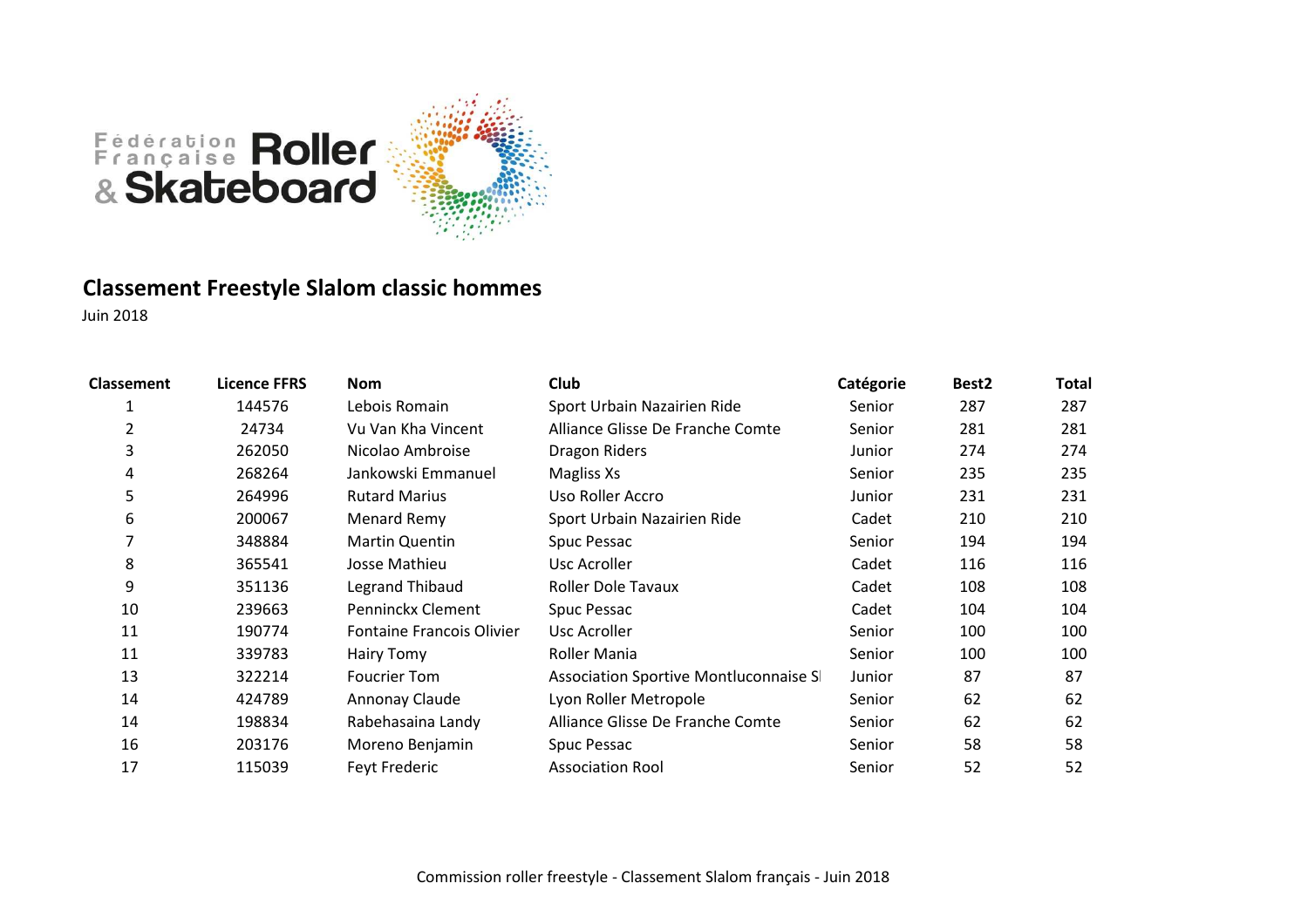

# **Classement Freestyle Slalom classic hommes**

| <b>Classement</b> | <b>Licence FFRS</b> | <b>Nom</b>                       | <b>Club</b>                            | Catégorie | Best <sub>2</sub> | Total |
|-------------------|---------------------|----------------------------------|----------------------------------------|-----------|-------------------|-------|
|                   | 144576              | Lebois Romain                    | Sport Urbain Nazairien Ride            | Senior    | 287               | 287   |
| 2                 | 24734               | Vu Van Kha Vincent               | Alliance Glisse De Franche Comte       | Senior    | 281               | 281   |
| 3                 | 262050              | Nicolao Ambroise                 | Dragon Riders                          | Junior    | 274               | 274   |
| 4                 | 268264              | Jankowski Emmanuel               | Magliss Xs                             | Senior    | 235               | 235   |
| 5                 | 264996              | <b>Rutard Marius</b>             | Uso Roller Accro                       | Junior    | 231               | 231   |
| 6                 | 200067              | Menard Remy                      | Sport Urbain Nazairien Ride            | Cadet     | 210               | 210   |
| 7                 | 348884              | Martin Quentin                   | Spuc Pessac                            | Senior    | 194               | 194   |
| 8                 | 365541              | Josse Mathieu                    | Usc Acroller                           | Cadet     | 116               | 116   |
| 9                 | 351136              | Legrand Thibaud                  | <b>Roller Dole Tavaux</b>              | Cadet     | 108               | 108   |
| 10                | 239663              | Penninckx Clement                | Spuc Pessac                            | Cadet     | 104               | 104   |
| 11                | 190774              | <b>Fontaine Francois Olivier</b> | Usc Acroller                           | Senior    | 100               | 100   |
| 11                | 339783              | <b>Hairy Tomy</b>                | Roller Mania                           | Senior    | 100               | 100   |
| 13                | 322214              | <b>Foucrier Tom</b>              | Association Sportive Montluconnaise SI | Junior    | 87                | 87    |
| 14                | 424789              | Annonay Claude                   | Lyon Roller Metropole                  | Senior    | 62                | 62    |
| 14                | 198834              | Rabehasaina Landy                | Alliance Glisse De Franche Comte       | Senior    | 62                | 62    |
| 16                | 203176              | Moreno Benjamin                  | Spuc Pessac                            | Senior    | 58                | 58    |
| 17                | 115039              | Feyt Frederic                    | <b>Association Rool</b>                | Senior    | 52                | 52    |
|                   |                     |                                  |                                        |           |                   |       |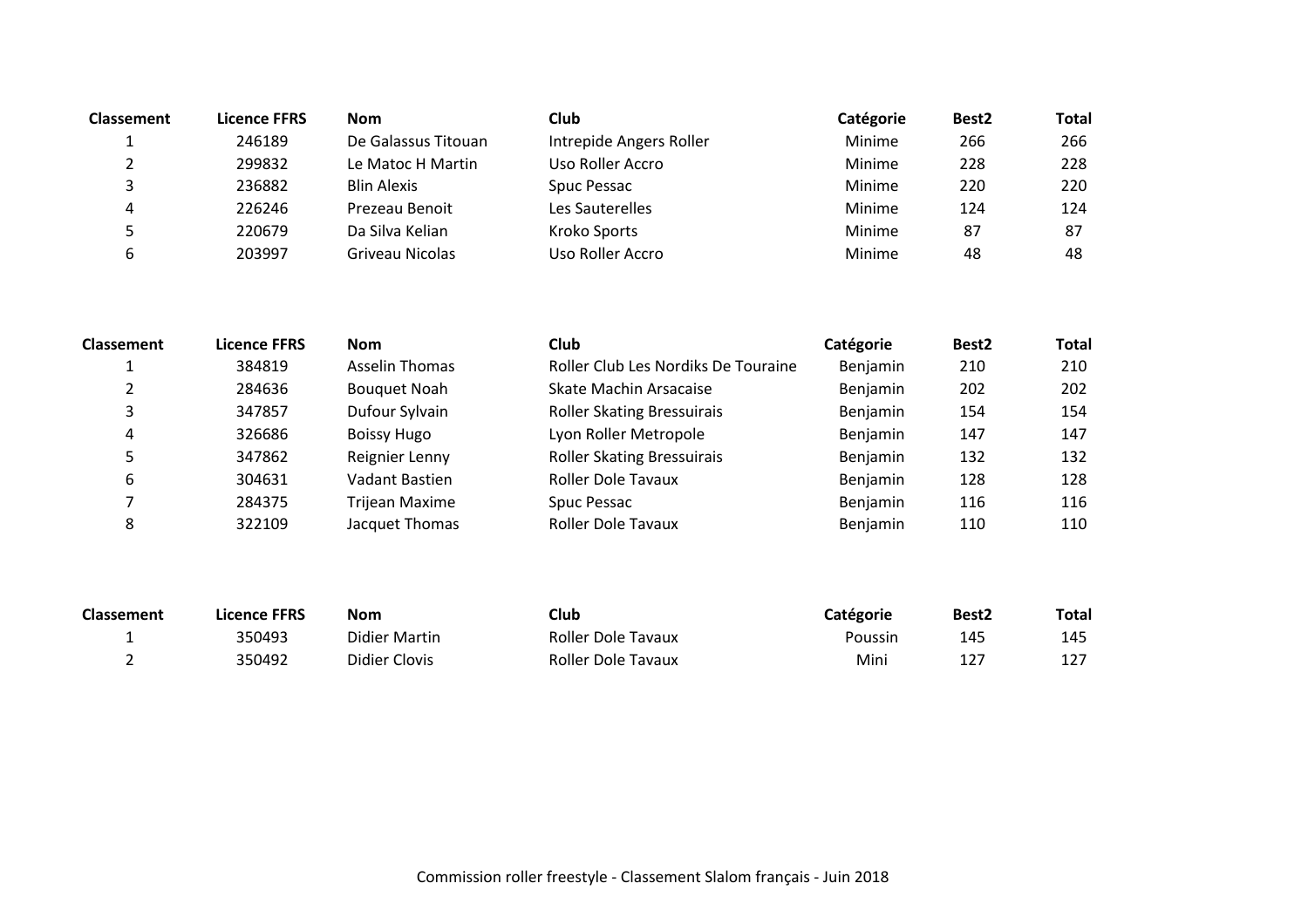| <b>Classement</b> | Licence FFRS | <b>Nom</b>          | <b>Club</b>             | Catégorie | Best <sub>2</sub> | <b>Total</b> |
|-------------------|--------------|---------------------|-------------------------|-----------|-------------------|--------------|
|                   | 246189       | De Galassus Titouan | Intrepide Angers Roller | Minime    | 266               | 266          |
|                   | 299832       | Le Matoc H Martin   | Uso Roller Accro        | Minime    | 228               | 228          |
|                   | 236882       | <b>Blin Alexis</b>  | Spuc Pessac             | Minime    | 220               | 220          |
| 4                 | 226246       | Prezeau Benoit      | Les Sauterelles         | Minime    | 124               | 124          |
|                   | 220679       | Da Silva Kelian     | Kroko Sports            | Minime    | 87                | 87           |
| 6                 | 203997       | Griveau Nicolas     | Uso Roller Accro        | Minime    | 48                | 48           |
|                   |              |                     |                         |           |                   |              |

| <b>Classement</b> | <b>Licence FFRS</b> | <b>Nom</b>            | <b>Club</b>                         | <b>Catégorie</b> | Best <sub>2</sub> | <b>Total</b> |
|-------------------|---------------------|-----------------------|-------------------------------------|------------------|-------------------|--------------|
|                   | 384819              | Asselin Thomas        | Roller Club Les Nordiks De Touraine | Benjamin         | 210               | 210          |
|                   | 284636              | <b>Bouquet Noah</b>   | Skate Machin Arsacaise              | Benjamin         | 202               | 202          |
|                   | 347857              | Dufour Sylvain        | <b>Roller Skating Bressuirais</b>   | Benjamin         | 154               | 154          |
| 4                 | 326686              | <b>Boissy Hugo</b>    | Lyon Roller Metropole               | Benjamin         | 147               | 147          |
|                   | 347862              | Reignier Lenny        | <b>Roller Skating Bressuirais</b>   | Benjamin         | 132               | 132          |
| 6                 | 304631              | Vadant Bastien        | <b>Roller Dole Tavaux</b>           | Benjamin         | 128               | 128          |
|                   | 284375              | <b>Trijean Maxime</b> | Spuc Pessac                         | Benjamin         | 116               | 116          |
|                   | 322109              | Jacquet Thomas        | <b>Roller Dole Tavaux</b>           | Benjamin         | 110               | 110          |

| <b>Classement</b> | Licence FFRS | <b>Nom</b>    | Club               | Catégorie | Best <sub>2</sub> | Total |
|-------------------|--------------|---------------|--------------------|-----------|-------------------|-------|
|                   | 350493       | Didier Martin | Roller Dole Tavaux | Poussin   | 145               | 145   |
|                   | 350492       | Didier Clovis | Roller Dole Tavaux | Mini      |                   |       |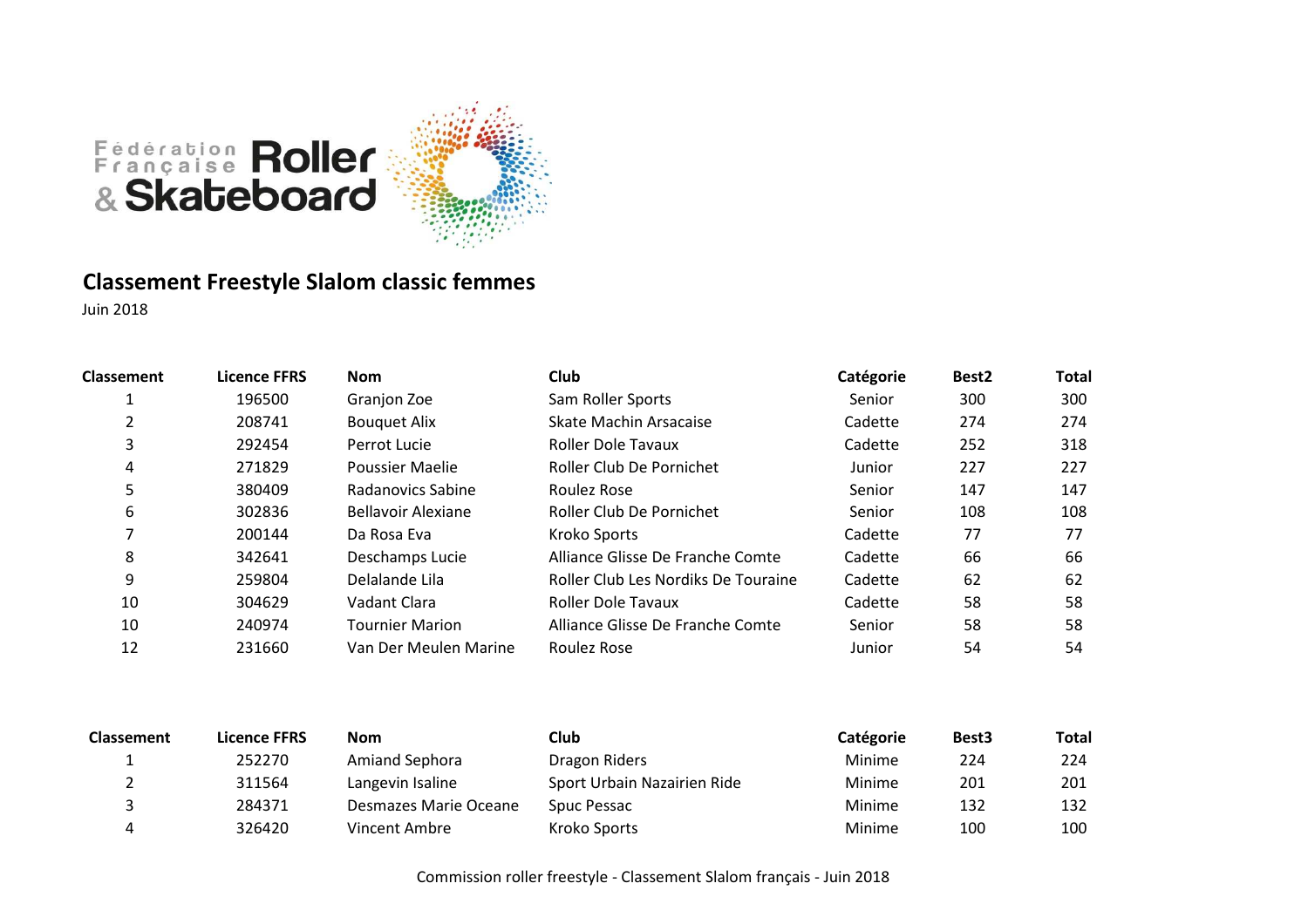

# **Classement Freestyle Slalom classic femmes**

Juin 2018

| <b>Classement</b> | Licence FFRS | <b>Nom</b>             | <b>Club</b>                         | Catégorie | Best <sub>2</sub> | <b>Total</b> |
|-------------------|--------------|------------------------|-------------------------------------|-----------|-------------------|--------------|
|                   | 196500       | Granjon Zoe            | Sam Roller Sports                   | Senior    | 300               | 300          |
|                   | 208741       | <b>Bouquet Alix</b>    | Skate Machin Arsacaise              | Cadette   | 274               | 274          |
| 3                 | 292454       | Perrot Lucie           | <b>Roller Dole Tavaux</b>           | Cadette   | 252               | 318          |
| 4                 | 271829       | Poussier Maelie        | Roller Club De Pornichet            | Junior    | 227               | 227          |
| 5                 | 380409       | Radanovics Sabine      | Roulez Rose                         | Senior    | 147               | 147          |
| 6                 | 302836       | Bellavoir Alexiane     | Roller Club De Pornichet            | Senior    | 108               | 108          |
|                   | 200144       | Da Rosa Eva            | Kroko Sports                        | Cadette   | 77                | 77           |
| 8                 | 342641       | Deschamps Lucie        | Alliance Glisse De Franche Comte    | Cadette   | 66                | 66           |
| 9                 | 259804       | Delalande Lila         | Roller Club Les Nordiks De Touraine | Cadette   | 62                | 62           |
| 10                | 304629       | Vadant Clara           | <b>Roller Dole Tavaux</b>           | Cadette   | 58                | 58           |
| 10                | 240974       | <b>Tournier Marion</b> | Alliance Glisse De Franche Comte    | Senior    | 58                | 58           |
| 12                | 231660       | Van Der Meulen Marine  | Roulez Rose                         | Junior    | 54                | 54           |
|                   |              |                        |                                     |           |                   |              |

| <b>Classement</b> | <b>Licence FFRS</b> | <b>Nom</b>            | Club                        | Catégorie | Best <sub>3</sub> | <b>Total</b> |
|-------------------|---------------------|-----------------------|-----------------------------|-----------|-------------------|--------------|
|                   | 252270              | Amiand Sephora        | Dragon Riders               | Minime    | 224               | 224          |
|                   | 311564              | Langevin Isaline      | Sport Urbain Nazairien Ride | Minime    | 201               | 201          |
|                   | 284371              | Desmazes Marie Oceane | Spuc Pessac                 | Minime    | 132               | 132          |
|                   | 326420              | Vincent Ambre         | Kroko Sports                | Minime    | 100               | 100          |

Commission roller freestyle - Classement Slalom français - Juin 2018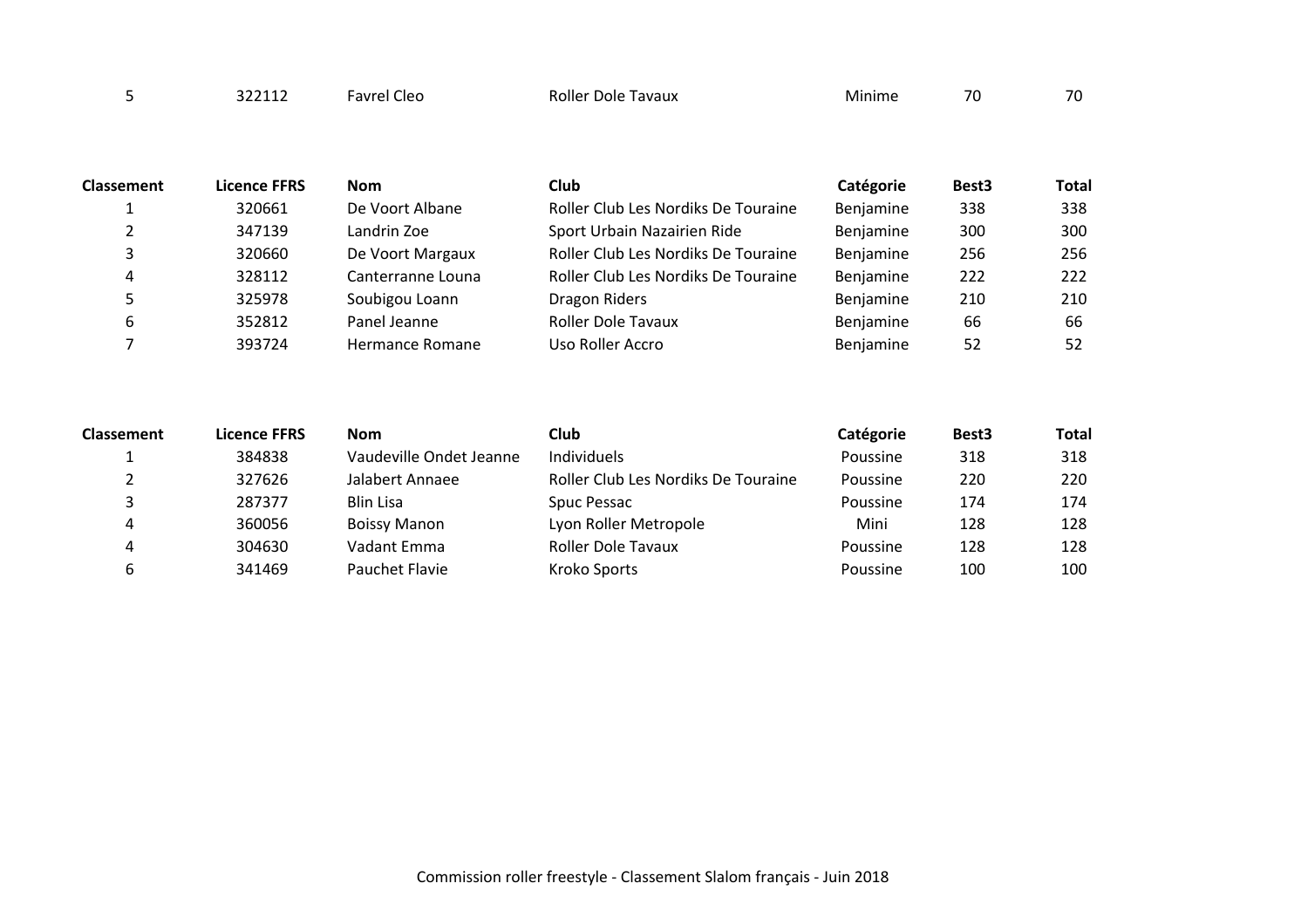| 70<br>Rolle <sup></sup><br>avaux<br>avrel<br>Cleo<br>Minim<br>Dole<br>טי | $70^{\circ}$ |
|--------------------------------------------------------------------------|--------------|
|--------------------------------------------------------------------------|--------------|

| <b>Classement</b> | <b>Licence FFRS</b> | <b>Nom</b>        | Club                                | Catégorie | Best <sub>3</sub> | <b>Total</b> |
|-------------------|---------------------|-------------------|-------------------------------------|-----------|-------------------|--------------|
|                   | 320661              | De Voort Albane   | Roller Club Les Nordiks De Touraine | Benjamine | 338               | 338          |
|                   | 347139              | Landrin Zoe       | Sport Urbain Nazairien Ride         | Benjamine | 300               | 300          |
| 3                 | 320660              | De Voort Margaux  | Roller Club Les Nordiks De Touraine | Benjamine | 256               | 256          |
| 4                 | 328112              | Canterranne Louna | Roller Club Les Nordiks De Touraine | Benjamine | 222               | 222          |
|                   | 325978              | Soubigou Loann    | Dragon Riders                       | Benjamine | 210               | 210          |
| 6                 | 352812              | Panel Jeanne      | <b>Roller Dole Tavaux</b>           | Benjamine | 66                | 66           |
|                   | 393724              | Hermance Romane   | Uso Roller Accro                    | Benjamine | 52                | 52           |

| <b>Classement</b> | <b>Licence FFRS</b> | <b>Nom</b>              | <b>Club</b>                         | Catégorie | Best <sub>3</sub> | <b>Total</b> |
|-------------------|---------------------|-------------------------|-------------------------------------|-----------|-------------------|--------------|
|                   | 384838              | Vaudeville Ondet Jeanne | Individuels                         | Poussine  | 318               | 318          |
|                   | 327626              | Jalabert Annaee         | Roller Club Les Nordiks De Touraine | Poussine  | 220               | 220          |
|                   | 287377              | <b>Blin Lisa</b>        | Spuc Pessac                         | Poussine  | 174               | 174          |
|                   | 360056              | <b>Boissy Manon</b>     | Lyon Roller Metropole               | Mini      | 128               | 128          |
|                   | 304630              | Vadant Emma             | <b>Roller Dole Tavaux</b>           | Poussine  | 128               | 128          |
|                   | 341469              | Pauchet Flavie          | Kroko Sports                        | Poussine  | 100               | 100          |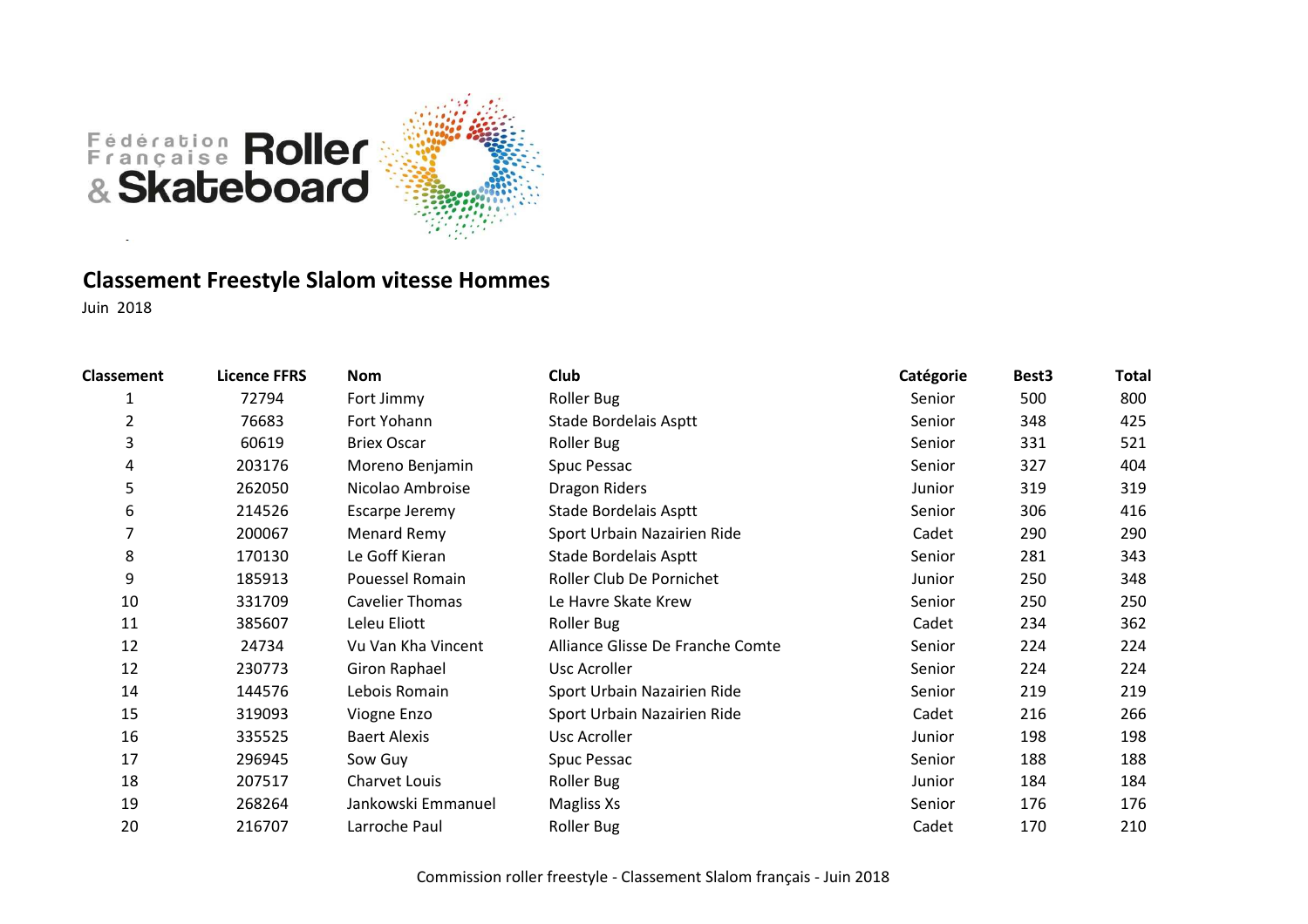

# **Classement Freestyle Slalom vitesse Hommes**

| <b>Classement</b> | <b>Licence FFRS</b> | Nom                    | Club                             | Catégorie | Best <sub>3</sub> | <b>Total</b> |
|-------------------|---------------------|------------------------|----------------------------------|-----------|-------------------|--------------|
| 1                 | 72794               | Fort Jimmy             | Roller Bug                       | Senior    | 500               | 800          |
| 2                 | 76683               | Fort Yohann            | Stade Bordelais Asptt            | Senior    | 348               | 425          |
| 3                 | 60619               | <b>Briex Oscar</b>     | Roller Bug                       | Senior    | 331               | 521          |
| 4                 | 203176              | Moreno Benjamin        | Spuc Pessac                      | Senior    | 327               | 404          |
| 5                 | 262050              | Nicolao Ambroise       | Dragon Riders                    | Junior    | 319               | 319          |
| 6                 | 214526              | Escarpe Jeremy         | Stade Bordelais Asptt            | Senior    | 306               | 416          |
| 7                 | 200067              | Menard Remy            | Sport Urbain Nazairien Ride      | Cadet     | 290               | 290          |
| 8                 | 170130              | Le Goff Kieran         | Stade Bordelais Asptt            | Senior    | 281               | 343          |
| 9                 | 185913              | Pouessel Romain        | Roller Club De Pornichet         | Junior    | 250               | 348          |
| 10                | 331709              | <b>Cavelier Thomas</b> | Le Havre Skate Krew              | Senior    | 250               | 250          |
| 11                | 385607              | Leleu Eliott           | Roller Bug                       | Cadet     | 234               | 362          |
| 12                | 24734               | Vu Van Kha Vincent     | Alliance Glisse De Franche Comte | Senior    | 224               | 224          |
| 12                | 230773              | Giron Raphael          | Usc Acroller                     | Senior    | 224               | 224          |
| 14                | 144576              | Lebois Romain          | Sport Urbain Nazairien Ride      | Senior    | 219               | 219          |
| 15                | 319093              | Viogne Enzo            | Sport Urbain Nazairien Ride      | Cadet     | 216               | 266          |
| 16                | 335525              | <b>Baert Alexis</b>    | <b>Usc Acroller</b>              | Junior    | 198               | 198          |
| 17                | 296945              | Sow Guy                | Spuc Pessac                      | Senior    | 188               | 188          |
| 18                | 207517              | <b>Charvet Louis</b>   | <b>Roller Bug</b>                | Junior    | 184               | 184          |
| 19                | 268264              | Jankowski Emmanuel     | Magliss Xs                       | Senior    | 176               | 176          |
| 20                | 216707              | Larroche Paul          | <b>Roller Bug</b>                | Cadet     | 170               | 210          |
|                   |                     |                        |                                  |           |                   |              |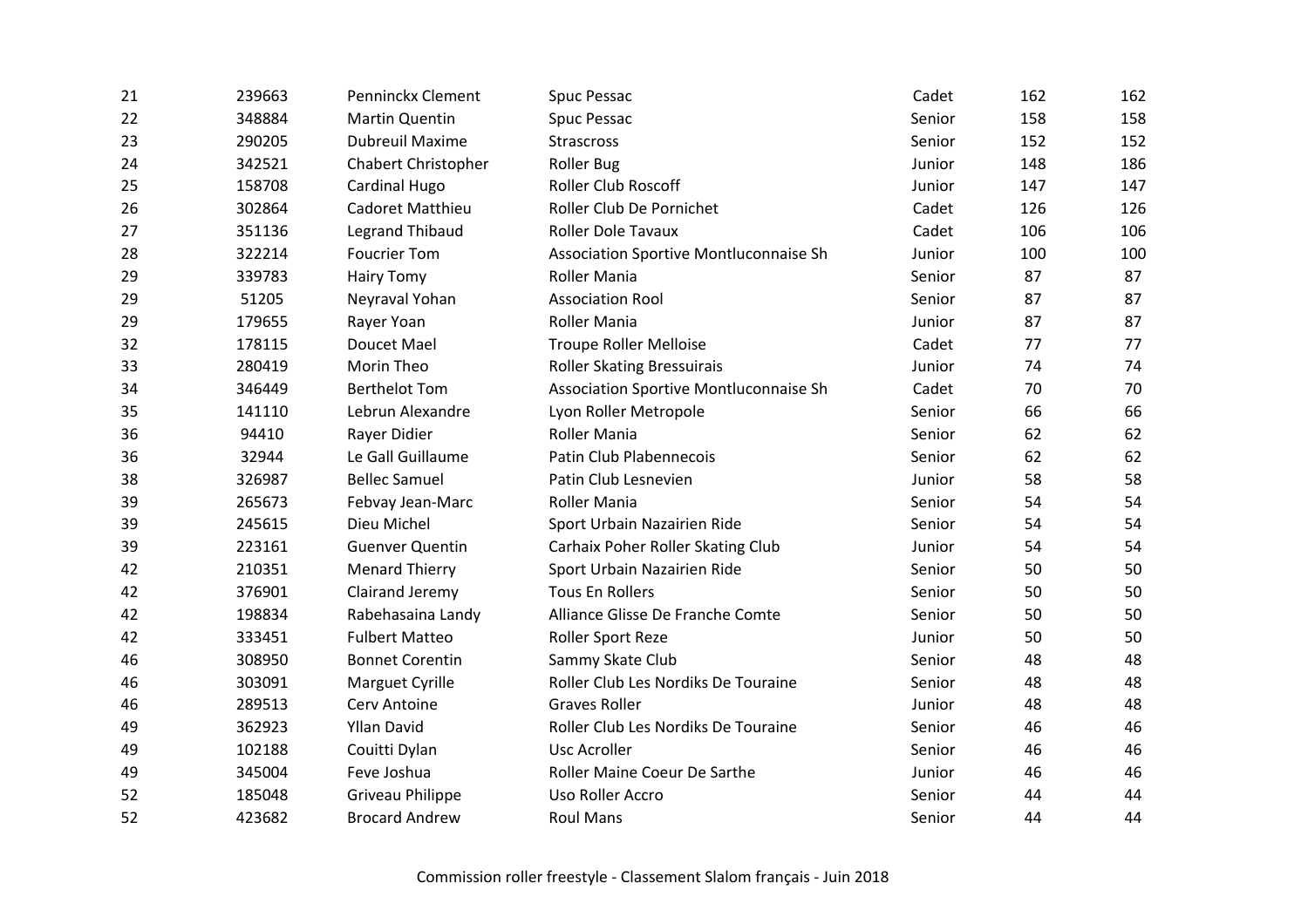| 21 | 239663 | Penninckx Clement          | Spuc Pessac                            | Cadet  | 162 | 162 |
|----|--------|----------------------------|----------------------------------------|--------|-----|-----|
| 22 | 348884 | <b>Martin Quentin</b>      | Spuc Pessac                            | Senior | 158 | 158 |
| 23 | 290205 | <b>Dubreuil Maxime</b>     | <b>Strascross</b>                      | Senior | 152 | 152 |
| 24 | 342521 | <b>Chabert Christopher</b> | <b>Roller Bug</b>                      | Junior | 148 | 186 |
| 25 | 158708 | Cardinal Hugo              | Roller Club Roscoff                    | Junior | 147 | 147 |
| 26 | 302864 | Cadoret Matthieu           | Roller Club De Pornichet               | Cadet  | 126 | 126 |
| 27 | 351136 | <b>Legrand Thibaud</b>     | <b>Roller Dole Tavaux</b>              | Cadet  | 106 | 106 |
| 28 | 322214 | <b>Foucrier Tom</b>        | Association Sportive Montluconnaise Sh | Junior | 100 | 100 |
| 29 | 339783 | <b>Hairy Tomy</b>          | Roller Mania                           | Senior | 87  | 87  |
| 29 | 51205  | Neyraval Yohan             | <b>Association Rool</b>                | Senior | 87  | 87  |
| 29 | 179655 | Rayer Yoan                 | <b>Roller Mania</b>                    | Junior | 87  | 87  |
| 32 | 178115 | <b>Doucet Mael</b>         | <b>Troupe Roller Melloise</b>          | Cadet  | 77  | 77  |
| 33 | 280419 | Morin Theo                 | <b>Roller Skating Bressuirais</b>      | Junior | 74  | 74  |
| 34 | 346449 | <b>Berthelot Tom</b>       | Association Sportive Montluconnaise Sh | Cadet  | 70  | 70  |
| 35 | 141110 | Lebrun Alexandre           | Lyon Roller Metropole                  | Senior | 66  | 66  |
| 36 | 94410  | Rayer Didier               | Roller Mania                           | Senior | 62  | 62  |
| 36 | 32944  | Le Gall Guillaume          | Patin Club Plabennecois                | Senior | 62  | 62  |
| 38 | 326987 | <b>Bellec Samuel</b>       | Patin Club Lesnevien                   | Junior | 58  | 58  |
| 39 | 265673 | Febvay Jean-Marc           | Roller Mania                           | Senior | 54  | 54  |
| 39 | 245615 | Dieu Michel                | Sport Urbain Nazairien Ride            | Senior | 54  | 54  |
| 39 | 223161 | <b>Guenver Quentin</b>     | Carhaix Poher Roller Skating Club      | Junior | 54  | 54  |
| 42 | 210351 | <b>Menard Thierry</b>      | Sport Urbain Nazairien Ride            | Senior | 50  | 50  |
| 42 | 376901 | Clairand Jeremy            | <b>Tous En Rollers</b>                 | Senior | 50  | 50  |
| 42 | 198834 | Rabehasaina Landy          | Alliance Glisse De Franche Comte       | Senior | 50  | 50  |
| 42 | 333451 | <b>Fulbert Matteo</b>      | Roller Sport Reze                      | Junior | 50  | 50  |
| 46 | 308950 | <b>Bonnet Corentin</b>     | Sammy Skate Club                       | Senior | 48  | 48  |
| 46 | 303091 | Marguet Cyrille            | Roller Club Les Nordiks De Touraine    | Senior | 48  | 48  |
| 46 | 289513 | Cerv Antoine               | <b>Graves Roller</b>                   | Junior | 48  | 48  |
| 49 | 362923 | <b>Yllan David</b>         | Roller Club Les Nordiks De Touraine    | Senior | 46  | 46  |
| 49 | 102188 | Couitti Dylan              | Usc Acroller                           | Senior | 46  | 46  |
| 49 | 345004 | Feve Joshua                | Roller Maine Coeur De Sarthe           | Junior | 46  | 46  |
| 52 | 185048 | <b>Griveau Philippe</b>    | Uso Roller Accro                       | Senior | 44  | 44  |
| 52 | 423682 | <b>Brocard Andrew</b>      | <b>Roul Mans</b>                       | Senior | 44  | 44  |
|    |        |                            |                                        |        |     |     |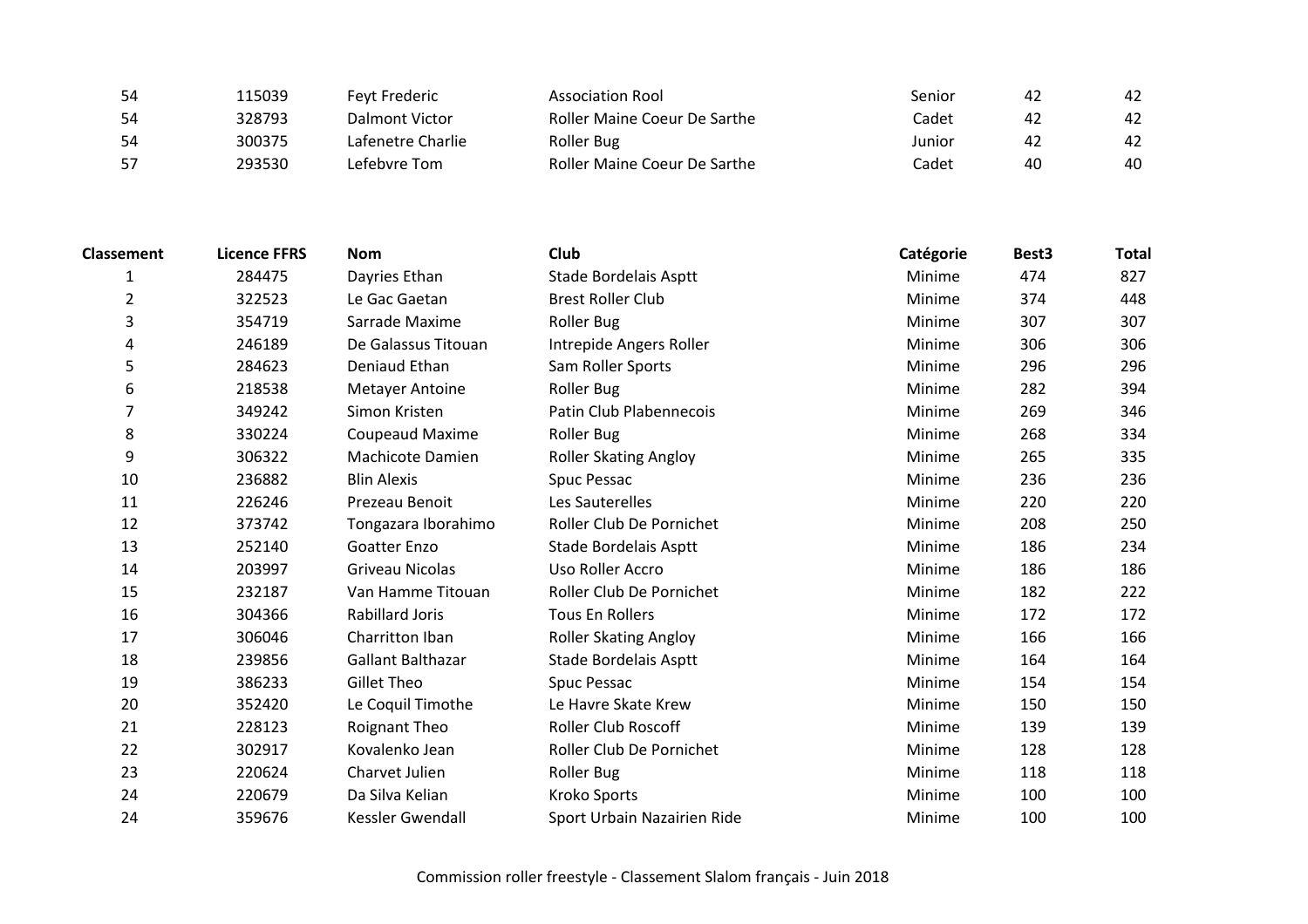| 54 | 115039 | <b>Feyt Frederic</b> | <b>Association Rool</b>             | Senior | 42 | 42 |
|----|--------|----------------------|-------------------------------------|--------|----|----|
| 54 | 328793 | Dalmont Victor       | <b>Roller Maine Coeur De Sarthe</b> | Cadet  | 42 | 42 |
| 54 | 300375 | Lafenetre Charlie    | Roller Bug                          | Junior | 42 | 42 |
| 57 | 293530 | Lefebvre Tom         | Roller Maine Coeur De Sarthe        | Cadet  | 40 | 40 |

| <b>Classement</b> | <b>Licence FFRS</b> | <b>Nom</b>             | Club                         | Catégorie | Best3 | <b>Total</b> |
|-------------------|---------------------|------------------------|------------------------------|-----------|-------|--------------|
| 1                 | 284475              | Dayries Ethan          | Stade Bordelais Asptt        | Minime    | 474   | 827          |
| $\overline{2}$    | 322523              | Le Gac Gaetan          | <b>Brest Roller Club</b>     | Minime    | 374   | 448          |
| 3                 | 354719              | Sarrade Maxime         | <b>Roller Bug</b>            | Minime    | 307   | 307          |
| 4                 | 246189              | De Galassus Titouan    | Intrepide Angers Roller      | Minime    | 306   | 306          |
| 5                 | 284623              | Deniaud Ethan          | Sam Roller Sports            | Minime    | 296   | 296          |
| 6                 | 218538              | <b>Metayer Antoine</b> | <b>Roller Bug</b>            | Minime    | 282   | 394          |
|                   | 349242              | Simon Kristen          | Patin Club Plabennecois      | Minime    | 269   | 346          |
| 8                 | 330224              | Coupeaud Maxime        | <b>Roller Bug</b>            | Minime    | 268   | 334          |
| 9                 | 306322              | Machicote Damien       | <b>Roller Skating Angloy</b> | Minime    | 265   | 335          |
| 10                | 236882              | <b>Blin Alexis</b>     | Spuc Pessac                  | Minime    | 236   | 236          |
| 11                | 226246              | Prezeau Benoit         | Les Sauterelles              | Minime    | 220   | 220          |
| 12                | 373742              | Tongazara Iborahimo    | Roller Club De Pornichet     | Minime    | 208   | 250          |
| 13                | 252140              | Goatter Enzo           | Stade Bordelais Asptt        | Minime    | 186   | 234          |
| 14                | 203997              | Griveau Nicolas        | Uso Roller Accro             | Minime    | 186   | 186          |
| 15                | 232187              | Van Hamme Titouan      | Roller Club De Pornichet     | Minime    | 182   | 222          |
| 16                | 304366              | <b>Rabillard Joris</b> | <b>Tous En Rollers</b>       | Minime    | 172   | 172          |
| 17                | 306046              | Charritton Iban        | <b>Roller Skating Angloy</b> | Minime    | 166   | 166          |
| 18                | 239856              | Gallant Balthazar      | Stade Bordelais Asptt        | Minime    | 164   | 164          |
| 19                | 386233              | Gillet Theo            | <b>Spuc Pessac</b>           | Minime    | 154   | 154          |
| 20                | 352420              | Le Coquil Timothe      | Le Havre Skate Krew          | Minime    | 150   | 150          |
| 21                | 228123              | Roignant Theo          | <b>Roller Club Roscoff</b>   | Minime    | 139   | 139          |
| 22                | 302917              | Kovalenko Jean         | Roller Club De Pornichet     | Minime    | 128   | 128          |
| 23                | 220624              | Charvet Julien         | <b>Roller Bug</b>            | Minime    | 118   | 118          |
| 24                | 220679              | Da Silva Kelian        | <b>Kroko Sports</b>          | Minime    | 100   | 100          |
| 24                | 359676              | Kessler Gwendall       | Sport Urbain Nazairien Ride  | Minime    | 100   | 100          |
|                   |                     |                        |                              |           |       |              |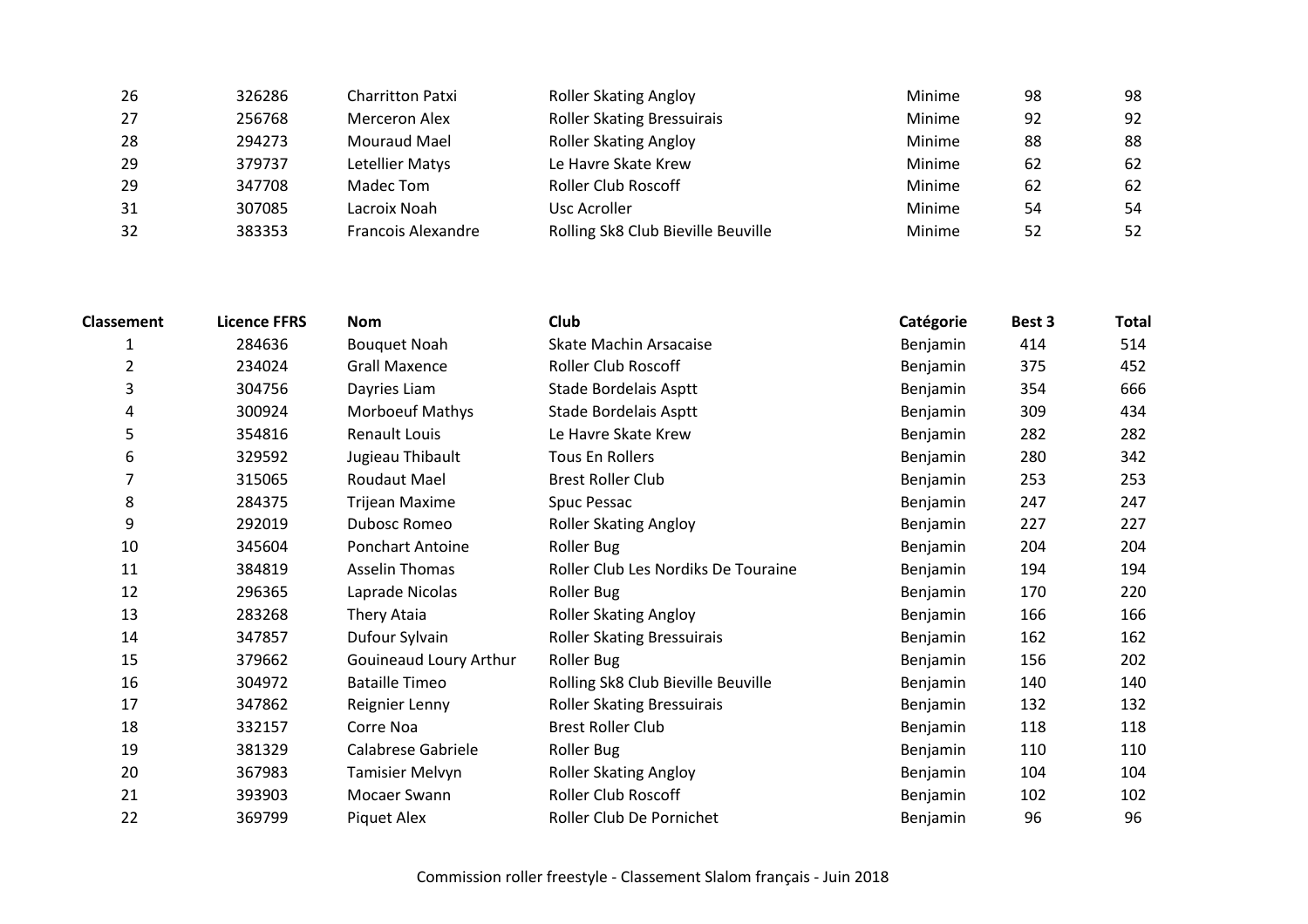| 326286 | <b>Charritton Patxi</b> | <b>Roller Skating Angloy</b>       | Minime | 98  | 98 |
|--------|-------------------------|------------------------------------|--------|-----|----|
| 256768 | Merceron Alex           | <b>Roller Skating Bressuirais</b>  | Minime | 92  | 92 |
| 294273 | Mouraud Mael            | <b>Roller Skating Angloy</b>       | Minime | 88  | 88 |
| 379737 | Letellier Matys         | Le Havre Skate Krew                | Minime | -62 | 62 |
| 347708 | Madec Tom               | <b>Roller Club Roscoff</b>         | Minime | 62  | 62 |
| 307085 | Lacroix Noah            | Usc Acroller                       | Minime | 54  | 54 |
| 383353 | Francois Alexandre      | Rolling Sk8 Club Bieville Beuville | Minime | 52  | 52 |
|        |                         |                                    |        |     |    |

| <b>Classement</b> | <b>Licence FFRS</b> | <b>Nom</b>              | Club                                | Catégorie | Best 3 | <b>Total</b> |
|-------------------|---------------------|-------------------------|-------------------------------------|-----------|--------|--------------|
| 1                 | 284636              | <b>Bouquet Noah</b>     | Skate Machin Arsacaise              | Benjamin  | 414    | 514          |
| $\overline{2}$    | 234024              | <b>Grall Maxence</b>    | Roller Club Roscoff                 | Benjamin  | 375    | 452          |
| 3                 | 304756              | Dayries Liam            | Stade Bordelais Asptt               | Benjamin  | 354    | 666          |
| 4                 | 300924              | <b>Morboeuf Mathys</b>  | Stade Bordelais Asptt               | Benjamin  | 309    | 434          |
| 5                 | 354816              | <b>Renault Louis</b>    | Le Havre Skate Krew                 | Benjamin  | 282    | 282          |
| 6                 | 329592              | Jugieau Thibault        | Tous En Rollers                     | Benjamin  | 280    | 342          |
| 7                 | 315065              | <b>Roudaut Mael</b>     | <b>Brest Roller Club</b>            | Benjamin  | 253    | 253          |
| 8                 | 284375              | <b>Trijean Maxime</b>   | Spuc Pessac                         | Benjamin  | 247    | 247          |
| 9                 | 292019              | <b>Dubosc Romeo</b>     | <b>Roller Skating Angloy</b>        | Benjamin  | 227    | 227          |
| 10                | 345604              | <b>Ponchart Antoine</b> | Roller Bug                          | Benjamin  | 204    | 204          |
| 11                | 384819              | <b>Asselin Thomas</b>   | Roller Club Les Nordiks De Touraine | Benjamin  | 194    | 194          |
| 12                | 296365              | Laprade Nicolas         | Roller Bug                          | Benjamin  | 170    | 220          |
| 13                | 283268              | Thery Ataia             | <b>Roller Skating Angloy</b>        | Benjamin  | 166    | 166          |
| 14                | 347857              | Dufour Sylvain          | Roller Skating Bressuirais          | Benjamin  | 162    | 162          |
| 15                | 379662              | Gouineaud Loury Arthur  | Roller Bug                          | Benjamin  | 156    | 202          |
| 16                | 304972              | <b>Bataille Timeo</b>   | Rolling Sk8 Club Bieville Beuville  | Benjamin  | 140    | 140          |
| 17                | 347862              | Reignier Lenny          | <b>Roller Skating Bressuirais</b>   | Benjamin  | 132    | 132          |
| 18                | 332157              | Corre Noa               | <b>Brest Roller Club</b>            | Benjamin  | 118    | 118          |
| 19                | 381329              | Calabrese Gabriele      | Roller Bug                          | Benjamin  | 110    | 110          |
| 20                | 367983              | <b>Tamisier Melvyn</b>  | <b>Roller Skating Angloy</b>        | Benjamin  | 104    | 104          |
| 21                | 393903              | Mocaer Swann            | <b>Roller Club Roscoff</b>          | Benjamin  | 102    | 102          |
| 22                | 369799              | Piquet Alex             | Roller Club De Pornichet            | Benjamin  | 96     | 96           |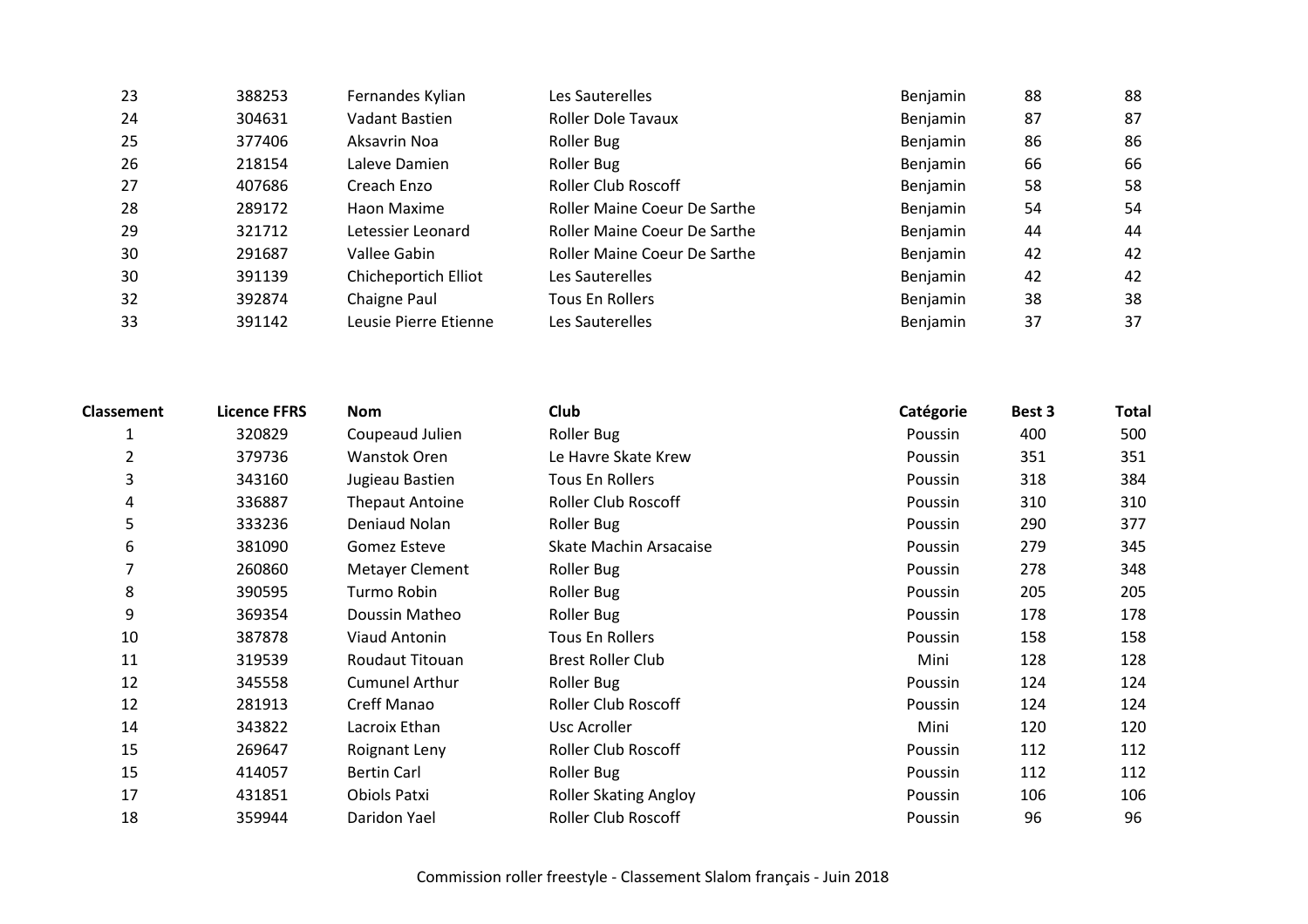| 23 | 388253 | Fernandes Kylian      | Les Sauterelles              | <b>Benjamin</b> | 88 | 88 |
|----|--------|-----------------------|------------------------------|-----------------|----|----|
| 24 | 304631 | Vadant Bastien        | <b>Roller Dole Tavaux</b>    | Benjamin        | 87 | 87 |
| 25 | 377406 | Aksavrin Noa          | Roller Bug                   | Benjamin        | 86 | 86 |
| 26 | 218154 | Laleve Damien         | Roller Bug                   | <b>Benjamin</b> | 66 | 66 |
| 27 | 407686 | Creach Enzo           | <b>Roller Club Roscoff</b>   | Benjamin        | 58 | 58 |
| 28 | 289172 | Haon Maxime           | Roller Maine Coeur De Sarthe | Benjamin        | 54 | 54 |
| 29 | 321712 | Letessier Leonard     | Roller Maine Coeur De Sarthe | Benjamin        | 44 | 44 |
| 30 | 291687 | Vallee Gabin          | Roller Maine Coeur De Sarthe | Benjamin        | 42 | 42 |
| 30 | 391139 | Chicheportich Elliot  | Les Sauterelles              | Benjamin        | 42 | 42 |
| 32 | 392874 | Chaigne Paul          | <b>Tous En Rollers</b>       | Benjamin        | 38 | 38 |
| 33 | 391142 | Leusie Pierre Etienne | Les Sauterelles              | Benjamin        | 37 | 37 |

| <b>Roller Bug</b><br>320829<br>Coupeaud Julien<br>1<br>Poussin                 | 400<br>351 | 500 |
|--------------------------------------------------------------------------------|------------|-----|
|                                                                                |            |     |
| $\overline{2}$<br>379736<br>Wanstok Oren<br>Le Havre Skate Krew<br>Poussin     |            | 351 |
| 3<br>343160<br>Jugieau Bastien<br>Tous En Rollers<br>Poussin                   | 318        | 384 |
| 336887<br><b>Roller Club Roscoff</b><br>4<br><b>Thepaut Antoine</b><br>Poussin | 310        | 310 |
| 5<br>333236<br>Deniaud Nolan<br><b>Roller Bug</b><br>Poussin                   | 290        | 377 |
| 6<br>381090<br>Gomez Esteve<br>Skate Machin Arsacaise<br>Poussin               | 279        | 345 |
| 7<br>260860<br>Metayer Clement<br><b>Roller Bug</b><br>Poussin                 | 278        | 348 |
| 8<br>390595<br><b>Roller Bug</b><br>Turmo Robin<br>Poussin                     | 205        | 205 |
| 9<br>369354<br><b>Roller Bug</b><br>Doussin Matheo<br>Poussin                  | 178        | 178 |
| 10<br>387878<br>Viaud Antonin<br>Tous En Rollers<br>Poussin                    | 158        | 158 |
| 11<br>319539<br>Roudaut Titouan<br><b>Brest Roller Club</b><br>Mini            | 128        | 128 |
| 12<br>345558<br><b>Cumunel Arthur</b><br>Roller Bug<br>Poussin                 | 124        | 124 |
| 12<br>Creff Manao<br><b>Roller Club Roscoff</b><br>281913<br>Poussin           | 124        | 124 |
| 14<br>343822<br>Lacroix Ethan<br>Mini<br>Usc Acroller                          | 120        | 120 |
| 15<br><b>Roller Club Roscoff</b><br>269647<br>Roignant Leny<br>Poussin         | 112        | 112 |
| 15<br>414057<br><b>Bertin Carl</b><br>Roller Bug<br>Poussin                    | 112        | 112 |
| 17<br>431851<br>Obiols Patxi<br><b>Roller Skating Angloy</b><br>Poussin        | 106        | 106 |
| 18<br><b>Roller Club Roscoff</b><br>359944<br>Daridon Yael<br>Poussin          | 96         | 96  |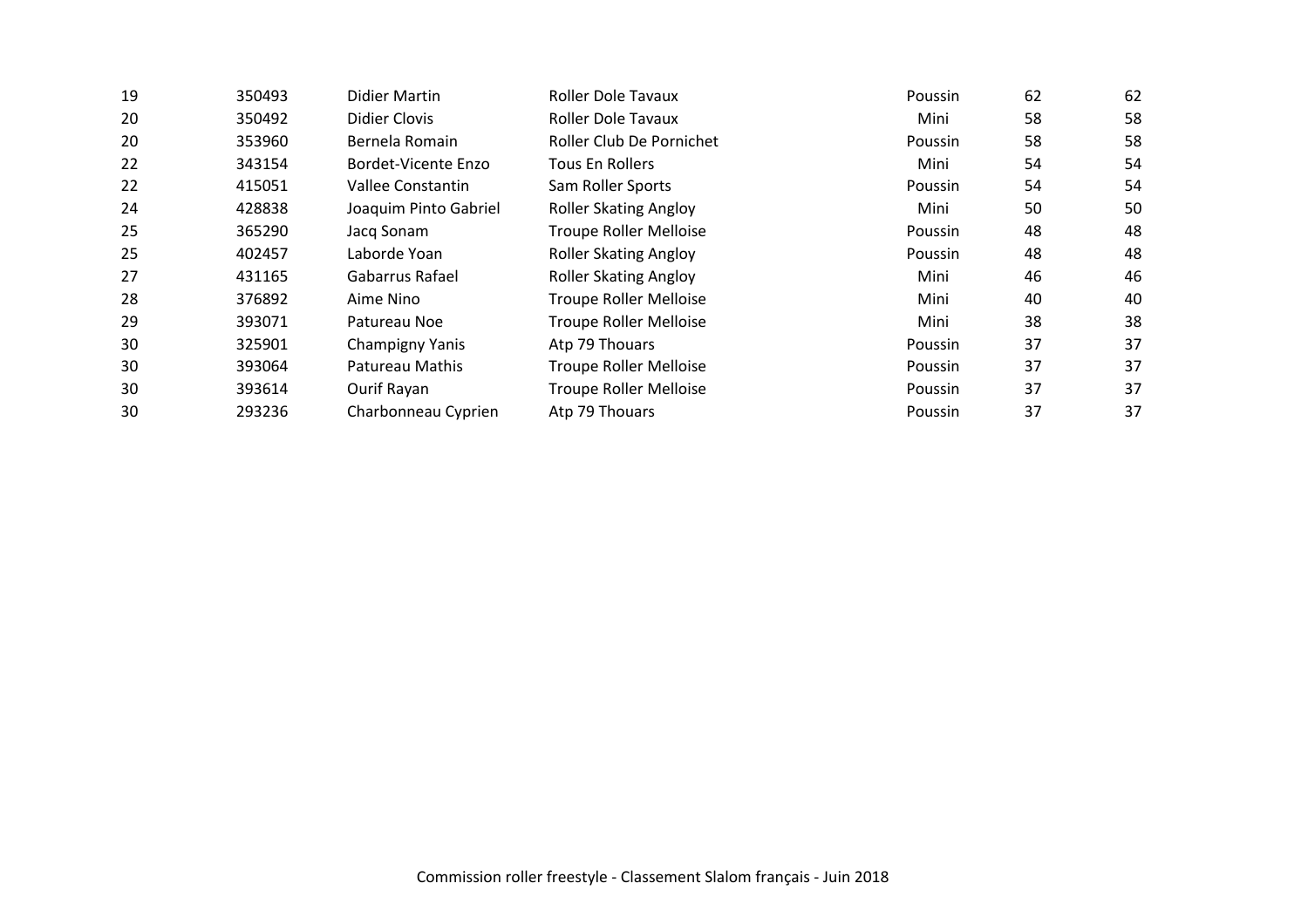| 19 | 350493 | Didier Martin         | <b>Roller Dole Tavaux</b>     | Poussin | 62 | 62 |
|----|--------|-----------------------|-------------------------------|---------|----|----|
| 20 | 350492 | Didier Clovis         | <b>Roller Dole Tavaux</b>     | Mini    | 58 | 58 |
| 20 | 353960 | Bernela Romain        | Roller Club De Pornichet      | Poussin | 58 | 58 |
| 22 | 343154 | Bordet-Vicente Enzo   | Tous En Rollers               | Mini    | 54 | 54 |
| 22 | 415051 | Vallee Constantin     | Sam Roller Sports             | Poussin | 54 | 54 |
| 24 | 428838 | Joaquim Pinto Gabriel | <b>Roller Skating Angloy</b>  | Mini    | 50 | 50 |
| 25 | 365290 | Jacq Sonam            | <b>Troupe Roller Melloise</b> | Poussin | 48 | 48 |
| 25 | 402457 | Laborde Yoan          | <b>Roller Skating Angloy</b>  | Poussin | 48 | 48 |
| 27 | 431165 | Gabarrus Rafael       | <b>Roller Skating Angloy</b>  | Mini    | 46 | 46 |
| 28 | 376892 | Aime Nino             | <b>Troupe Roller Melloise</b> | Mini    | 40 | 40 |
| 29 | 393071 | Patureau Noe          | <b>Troupe Roller Melloise</b> | Mini    | 38 | 38 |
| 30 | 325901 | Champigny Yanis       | Atp 79 Thouars                | Poussin | 37 | 37 |
| 30 | 393064 | Patureau Mathis       | <b>Troupe Roller Melloise</b> | Poussin | 37 | 37 |
| 30 | 393614 | Ourif Rayan           | <b>Troupe Roller Melloise</b> | Poussin | 37 | 37 |
| 30 | 293236 | Charbonneau Cyprien   | Atp 79 Thouars                | Poussin | 37 | 37 |
|    |        |                       |                               |         |    |    |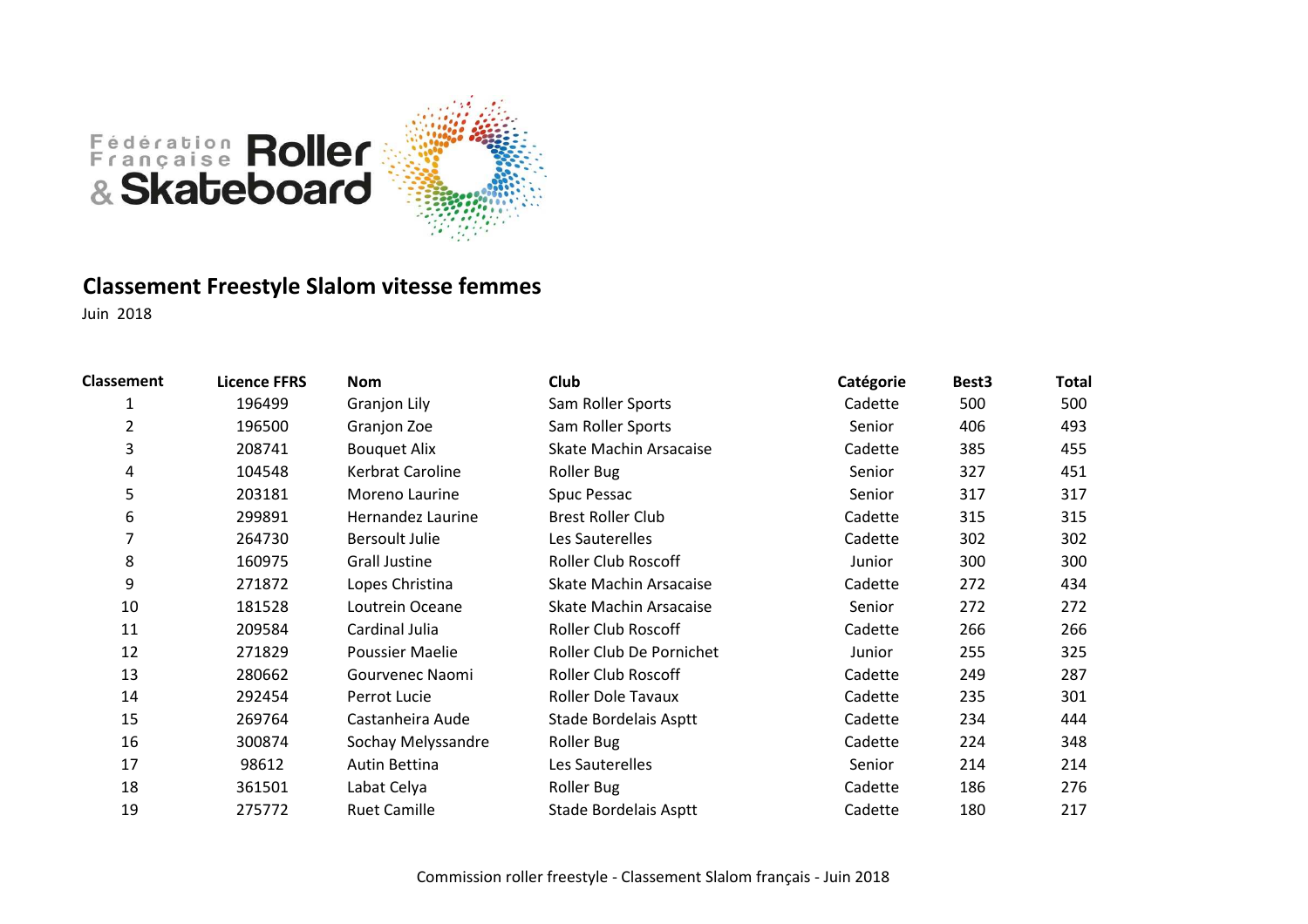

# **Classement Freestyle Slalom vitesse femmes**

| <b>Classement</b> | <b>Licence FFRS</b> | Nom                   | Club                       | Catégorie | Best <sub>3</sub> | <b>Total</b> |
|-------------------|---------------------|-----------------------|----------------------------|-----------|-------------------|--------------|
| 1                 | 196499              | <b>Granjon Lily</b>   | Sam Roller Sports          | Cadette   | 500               | 500          |
| 2                 | 196500              | Granjon Zoe           | Sam Roller Sports          | Senior    | 406               | 493          |
| 3                 | 208741              | <b>Bouquet Alix</b>   | Skate Machin Arsacaise     | Cadette   | 385               | 455          |
| 4                 | 104548              | Kerbrat Caroline      | Roller Bug                 | Senior    | 327               | 451          |
| 5                 | 203181              | Moreno Laurine        | Spuc Pessac                | Senior    | 317               | 317          |
| 6                 | 299891              | Hernandez Laurine     | <b>Brest Roller Club</b>   | Cadette   | 315               | 315          |
|                   | 264730              | <b>Bersoult Julie</b> | Les Sauterelles            | Cadette   | 302               | 302          |
| 8                 | 160975              | <b>Grall Justine</b>  | <b>Roller Club Roscoff</b> | Junior    | 300               | 300          |
| 9                 | 271872              | Lopes Christina       | Skate Machin Arsacaise     | Cadette   | 272               | 434          |
| 10                | 181528              | Loutrein Oceane       | Skate Machin Arsacaise     | Senior    | 272               | 272          |
| 11                | 209584              | Cardinal Julia        | <b>Roller Club Roscoff</b> | Cadette   | 266               | 266          |
| 12                | 271829              | Poussier Maelie       | Roller Club De Pornichet   | Junior    | 255               | 325          |
| 13                | 280662              | Gourvenec Naomi       | <b>Roller Club Roscoff</b> | Cadette   | 249               | 287          |
| 14                | 292454              | Perrot Lucie          | <b>Roller Dole Tavaux</b>  | Cadette   | 235               | 301          |
| 15                | 269764              | Castanheira Aude      | Stade Bordelais Asptt      | Cadette   | 234               | 444          |
| 16                | 300874              | Sochay Melyssandre    | Roller Bug                 | Cadette   | 224               | 348          |
| 17                | 98612               | Autin Bettina         | Les Sauterelles            | Senior    | 214               | 214          |
| 18                | 361501              | Labat Celya           | Roller Bug                 | Cadette   | 186               | 276          |
| 19                | 275772              | <b>Ruet Camille</b>   | Stade Bordelais Asptt      | Cadette   | 180               | 217          |
|                   |                     |                       |                            |           |                   |              |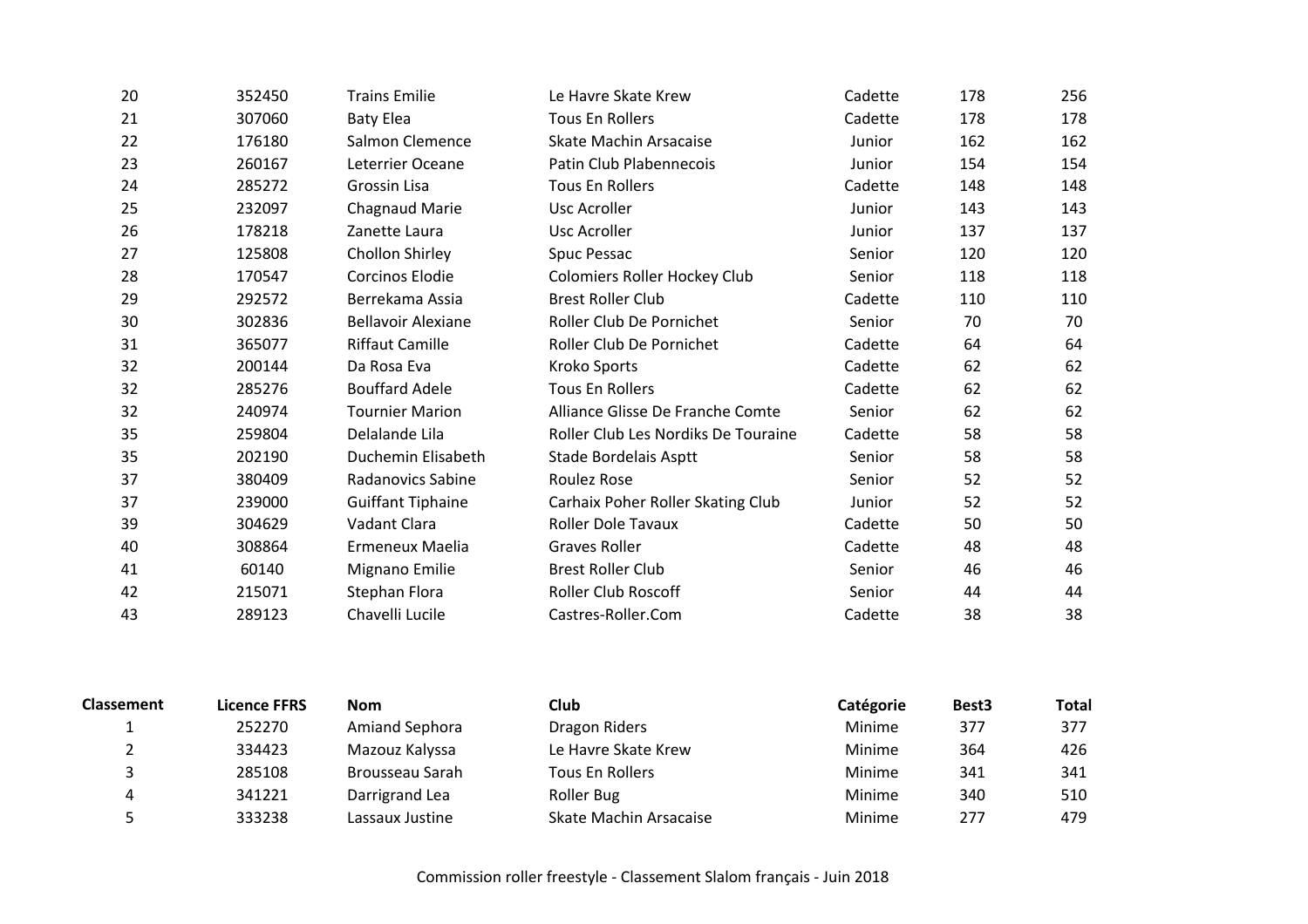| 20 | 352450 | <b>Trains Emilie</b>      | Le Havre Skate Krew                 | Cadette | 178 | 256 |
|----|--------|---------------------------|-------------------------------------|---------|-----|-----|
| 21 | 307060 | <b>Baty Elea</b>          | <b>Tous En Rollers</b>              | Cadette | 178 | 178 |
| 22 | 176180 | Salmon Clemence           | <b>Skate Machin Arsacaise</b>       | Junior  | 162 | 162 |
| 23 | 260167 | Leterrier Oceane          | Patin Club Plabennecois             | Junior  | 154 | 154 |
| 24 | 285272 | Grossin Lisa              | <b>Tous En Rollers</b>              | Cadette | 148 | 148 |
| 25 | 232097 | <b>Chagnaud Marie</b>     | Usc Acroller                        | Junior  | 143 | 143 |
| 26 | 178218 | Zanette Laura             | Usc Acroller                        | Junior  | 137 | 137 |
| 27 | 125808 | Chollon Shirley           | Spuc Pessac                         | Senior  | 120 | 120 |
| 28 | 170547 | <b>Corcinos Elodie</b>    | Colomiers Roller Hockey Club        | Senior  | 118 | 118 |
| 29 | 292572 | Berrekama Assia           | <b>Brest Roller Club</b>            | Cadette | 110 | 110 |
| 30 | 302836 | <b>Bellavoir Alexiane</b> | Roller Club De Pornichet            | Senior  | 70  | 70  |
| 31 | 365077 | <b>Riffaut Camille</b>    | Roller Club De Pornichet            | Cadette | 64  | 64  |
| 32 | 200144 | Da Rosa Eva               | Kroko Sports                        | Cadette | 62  | 62  |
| 32 | 285276 | <b>Bouffard Adele</b>     | <b>Tous En Rollers</b>              | Cadette | 62  | 62  |
| 32 | 240974 | <b>Tournier Marion</b>    | Alliance Glisse De Franche Comte    | Senior  | 62  | 62  |
| 35 | 259804 | Delalande Lila            | Roller Club Les Nordiks De Touraine | Cadette | 58  | 58  |
| 35 | 202190 | Duchemin Elisabeth        | Stade Bordelais Asptt               | Senior  | 58  | 58  |
| 37 | 380409 | <b>Radanovics Sabine</b>  | Roulez Rose                         | Senior  | 52  | 52  |
| 37 | 239000 | <b>Guiffant Tiphaine</b>  | Carhaix Poher Roller Skating Club   | Junior  | 52  | 52  |
| 39 | 304629 | Vadant Clara              | <b>Roller Dole Tavaux</b>           | Cadette | 50  | 50  |
| 40 | 308864 | Ermeneux Maelia           | <b>Graves Roller</b>                | Cadette | 48  | 48  |
| 41 | 60140  | Mignano Emilie            | <b>Brest Roller Club</b>            | Senior  | 46  | 46  |
| 42 | 215071 | Stephan Flora             | <b>Roller Club Roscoff</b>          | Senior  | 44  | 44  |
| 43 | 289123 | Chavelli Lucile           | Castres-Roller.Com                  | Cadette | 38  | 38  |
|    |        |                           |                                     |         |     |     |

| <b>Classement</b> | <b>Licence FFRS</b> | <b>Nom</b>      | Club                   | Catégorie | Best <sub>3</sub> | <b>Total</b> |
|-------------------|---------------------|-----------------|------------------------|-----------|-------------------|--------------|
|                   | 252270              | Amiand Sephora  | Dragon Riders          | Minime    | 377               | 377          |
|                   | 334423              | Mazouz Kalyssa  | Le Havre Skate Krew    | Minime    | 364               | 426          |
|                   | 285108              | Brousseau Sarah | Tous En Rollers        | Minime    | 341               | 341          |
|                   | 341221              | Darrigrand Lea  | Roller Bug             | Minime    | 340               | 510          |
|                   | 333238              | Lassaux Justine | Skate Machin Arsacaise | Minime    | 277               | 479          |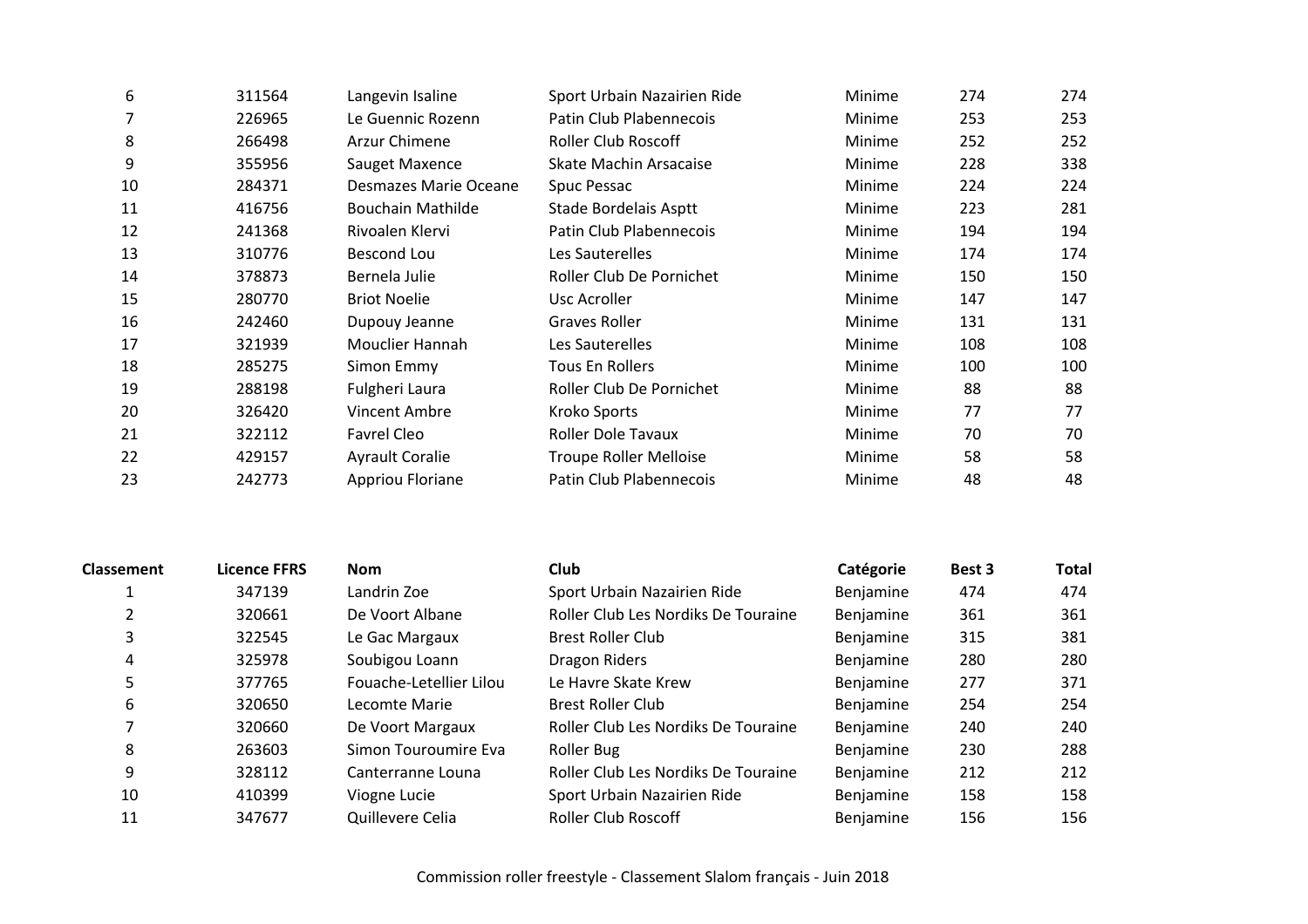| 6  | 311564 | Langevin Isaline         | Sport Urbain Nazairien Ride   | Minime | 274 | 274 |
|----|--------|--------------------------|-------------------------------|--------|-----|-----|
|    | 226965 | Le Guennic Rozenn        | Patin Club Plabennecois       | Minime | 253 | 253 |
| 8  | 266498 | Arzur Chimene            | <b>Roller Club Roscoff</b>    | Minime | 252 | 252 |
| 9  | 355956 | Sauget Maxence           | Skate Machin Arsacaise        | Minime | 228 | 338 |
| 10 | 284371 | Desmazes Marie Oceane    | Spuc Pessac                   | Minime | 224 | 224 |
| 11 | 416756 | <b>Bouchain Mathilde</b> | Stade Bordelais Asptt         | Minime | 223 | 281 |
| 12 | 241368 | Rivoalen Klervi          | Patin Club Plabennecois       | Minime | 194 | 194 |
| 13 | 310776 | Bescond Lou              | Les Sauterelles               | Minime | 174 | 174 |
| 14 | 378873 | Bernela Julie            | Roller Club De Pornichet      | Minime | 150 | 150 |
| 15 | 280770 | <b>Briot Noelie</b>      | Usc Acroller                  | Minime | 147 | 147 |
| 16 | 242460 | Dupouy Jeanne            | Graves Roller                 | Minime | 131 | 131 |
| 17 | 321939 | Mouclier Hannah          | Les Sauterelles               | Minime | 108 | 108 |
| 18 | 285275 | Simon Emmy               | Tous En Rollers               | Minime | 100 | 100 |
| 19 | 288198 | Fulgheri Laura           | Roller Club De Pornichet      | Minime | 88  | 88  |
| 20 | 326420 | <b>Vincent Ambre</b>     | Kroko Sports                  | Minime | 77  | 77  |
| 21 | 322112 | Favrel Cleo              | <b>Roller Dole Tavaux</b>     | Minime | 70  | 70  |
| 22 | 429157 | <b>Ayrault Coralie</b>   | <b>Troupe Roller Melloise</b> | Minime | 58  | 58  |
| 23 | 242773 | Appriou Floriane         | Patin Club Plabennecois       | Minime | 48  | 48  |
|    |        |                          |                               |        |     |     |

| <b>Classement</b> | <b>Licence FFRS</b> | <b>Nom</b>              | Club                                | Catégorie | Best 3 | <b>Total</b> |
|-------------------|---------------------|-------------------------|-------------------------------------|-----------|--------|--------------|
|                   | 347139              | Landrin Zoe             | Sport Urbain Nazairien Ride         | Benjamine | 474    | 474          |
|                   | 320661              | De Voort Albane         | Roller Club Les Nordiks De Touraine | Benjamine | 361    | 361          |
| 3                 | 322545              | Le Gac Margaux          | <b>Brest Roller Club</b>            | Benjamine | 315    | 381          |
| 4                 | 325978              | Soubigou Loann          | Dragon Riders                       | Benjamine | 280    | 280          |
| 5                 | 377765              | Fouache-Letellier Lilou | Le Havre Skate Krew                 | Benjamine | 277    | 371          |
| 6                 | 320650              | Lecomte Marie           | <b>Brest Roller Club</b>            | Benjamine | 254    | 254          |
|                   | 320660              | De Voort Margaux        | Roller Club Les Nordiks De Touraine | Benjamine | 240    | 240          |
| 8                 | 263603              | Simon Touroumire Eva    | Roller Bug                          | Benjamine | 230    | 288          |
| 9                 | 328112              | Canterranne Louna       | Roller Club Les Nordiks De Touraine | Benjamine | 212    | 212          |
| 10                | 410399              | Viogne Lucie            | Sport Urbain Nazairien Ride         | Benjamine | 158    | 158          |
| 11                | 347677              | Quillevere Celia        | <b>Roller Club Roscoff</b>          | Benjamine | 156    | 156          |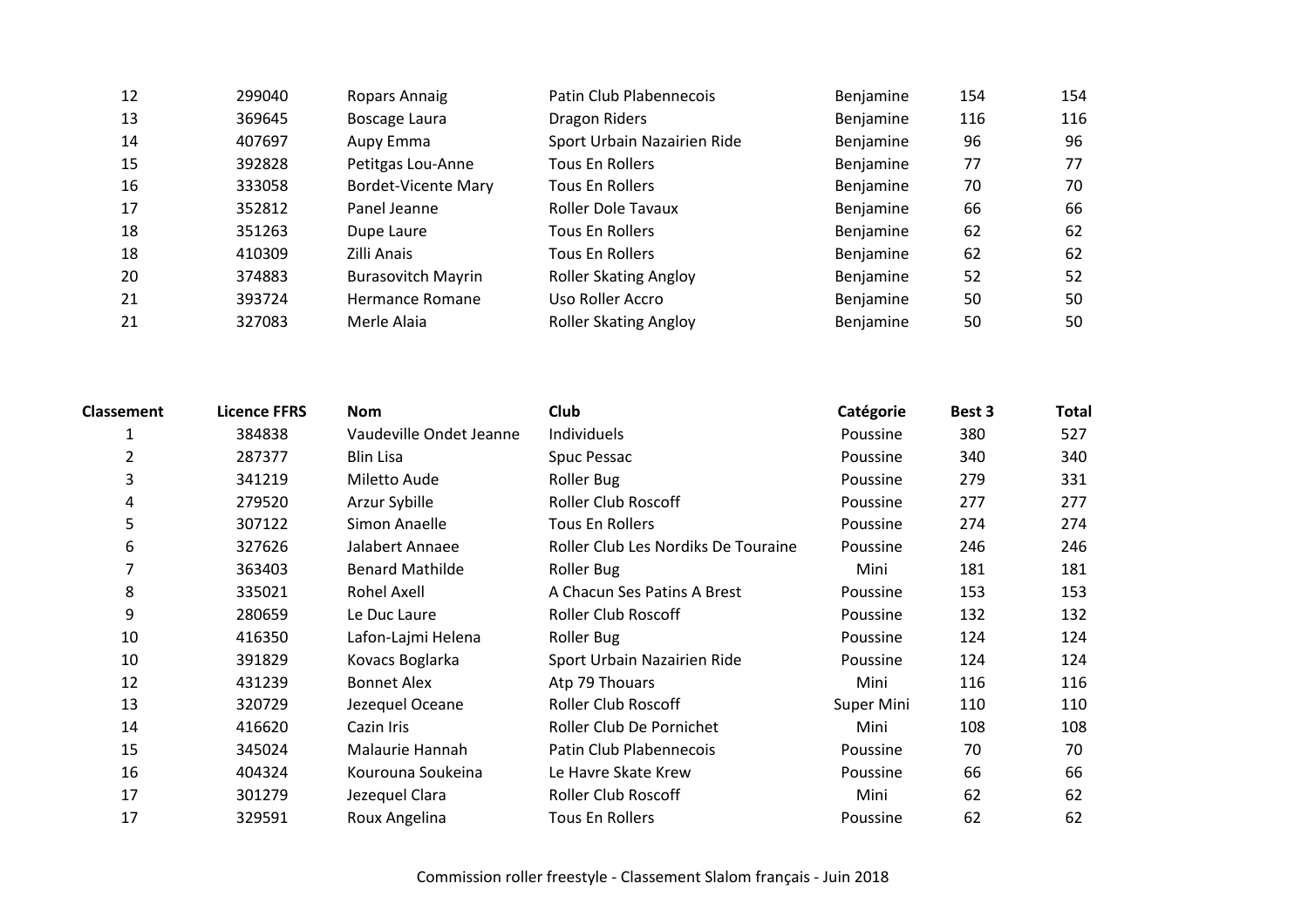| 12 | 299040 | Ropars Annaig              | Patin Club Plabennecois      | Benjamine | 154 | 154 |
|----|--------|----------------------------|------------------------------|-----------|-----|-----|
| 13 | 369645 | Boscage Laura              | Dragon Riders                | Benjamine | 116 | 116 |
| 14 | 407697 | Aupy Emma                  | Sport Urbain Nazairien Ride  | Benjamine | 96  | 96  |
| 15 | 392828 | Petitgas Lou-Anne          | Tous En Rollers              | Benjamine | 77  | 77  |
| 16 | 333058 | <b>Bordet-Vicente Mary</b> | Tous En Rollers              | Benjamine | 70  | 70  |
| 17 | 352812 | Panel Jeanne               | Roller Dole Tavaux           | Benjamine | 66  | 66  |
| 18 | 351263 | Dupe Laure                 | Tous En Rollers              | Benjamine | 62  | 62  |
| 18 | 410309 | Zilli Anais                | <b>Tous En Rollers</b>       | Benjamine | 62  | 62  |
| 20 | 374883 | <b>Burasovitch Mayrin</b>  | <b>Roller Skating Angloy</b> | Benjamine | 52  | 52  |
| 21 | 393724 | Hermance Romane            | Uso Roller Accro             | Benjamine | 50  | 50  |
| 21 | 327083 | Merle Alaia                | <b>Roller Skating Angloy</b> | Benjamine | 50  | 50  |

| <b>Classement</b> | <b>Licence FFRS</b> | <b>Nom</b>              | <b>Club</b>                         | Catégorie  | Best 3 | <b>Total</b> |
|-------------------|---------------------|-------------------------|-------------------------------------|------------|--------|--------------|
|                   | 384838              | Vaudeville Ondet Jeanne | Individuels                         | Poussine   | 380    | 527          |
| 2                 | 287377              | <b>Blin Lisa</b>        | Spuc Pessac                         | Poussine   | 340    | 340          |
| 3                 | 341219              | Miletto Aude            | <b>Roller Bug</b>                   | Poussine   | 279    | 331          |
| 4                 | 279520              | Arzur Sybille           | <b>Roller Club Roscoff</b>          | Poussine   | 277    | 277          |
| 5                 | 307122              | Simon Anaelle           | Tous En Rollers                     | Poussine   | 274    | 274          |
| 6                 | 327626              | Jalabert Annaee         | Roller Club Les Nordiks De Touraine | Poussine   | 246    | 246          |
| 7                 | 363403              | <b>Benard Mathilde</b>  | <b>Roller Bug</b>                   | Mini       | 181    | 181          |
| 8                 | 335021              | Rohel Axell             | A Chacun Ses Patins A Brest         | Poussine   | 153    | 153          |
| 9                 | 280659              | Le Duc Laure            | Roller Club Roscoff                 | Poussine   | 132    | 132          |
| 10                | 416350              | Lafon-Lajmi Helena      | <b>Roller Bug</b>                   | Poussine   | 124    | 124          |
| 10                | 391829              | Kovacs Boglarka         | Sport Urbain Nazairien Ride         | Poussine   | 124    | 124          |
| 12                | 431239              | <b>Bonnet Alex</b>      | Atp 79 Thouars                      | Mini       | 116    | 116          |
| 13                | 320729              | Jezequel Oceane         | <b>Roller Club Roscoff</b>          | Super Mini | 110    | 110          |
| 14                | 416620              | Cazin Iris              | Roller Club De Pornichet            | Mini       | 108    | 108          |
| 15                | 345024              | Malaurie Hannah         | Patin Club Plabennecois             | Poussine   | 70     | 70           |
| 16                | 404324              | Kourouna Soukeina       | Le Havre Skate Krew                 | Poussine   | 66     | 66           |
| 17                | 301279              | Jezequel Clara          | <b>Roller Club Roscoff</b>          | Mini       | 62     | 62           |
| 17                | 329591              | Roux Angelina           | Tous En Rollers                     | Poussine   | 62     | 62           |